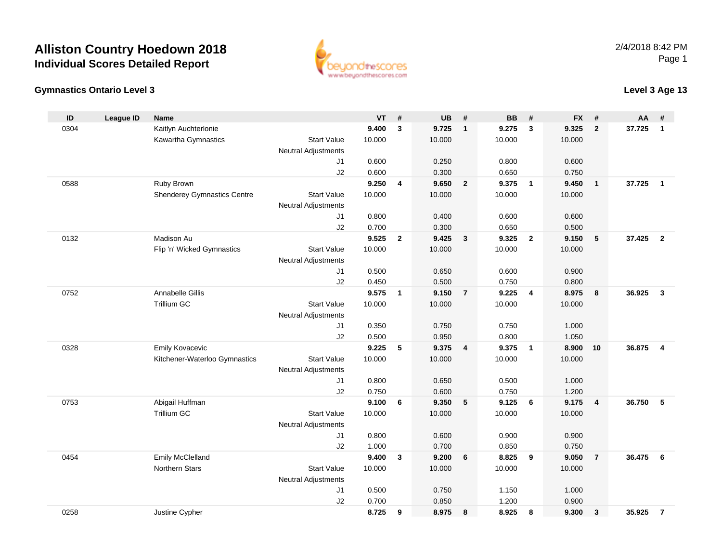



#### **Level 3 Age 13**

| ID   | <b>League ID</b> | <b>Name</b>                        |                            | VT     | #              | <b>UB</b> | #              | <b>BB</b> | #              | <b>FX</b> | #              | AA     | #                       |
|------|------------------|------------------------------------|----------------------------|--------|----------------|-----------|----------------|-----------|----------------|-----------|----------------|--------|-------------------------|
| 0304 |                  | Kaitlyn Auchterlonie               |                            | 9.400  | $\mathbf{3}$   | 9.725     | $\overline{1}$ | 9.275     | $\mathbf{3}$   | 9.325     | $\overline{2}$ | 37.725 | $\mathbf{1}$            |
|      |                  | Kawartha Gymnastics                | <b>Start Value</b>         | 10.000 |                | 10.000    |                | 10.000    |                | 10.000    |                |        |                         |
|      |                  |                                    | <b>Neutral Adjustments</b> |        |                |           |                |           |                |           |                |        |                         |
|      |                  |                                    | J1                         | 0.600  |                | 0.250     |                | 0.800     |                | 0.600     |                |        |                         |
|      |                  |                                    | J2                         | 0.600  |                | 0.300     |                | 0.650     |                | 0.750     |                |        |                         |
| 0588 |                  | Ruby Brown                         |                            | 9.250  | 4              | 9.650     | $\overline{2}$ | 9.375     | $\overline{1}$ | 9.450     | $\overline{1}$ | 37.725 | $\overline{1}$          |
|      |                  | <b>Shenderey Gymnastics Centre</b> | <b>Start Value</b>         | 10.000 |                | 10.000    |                | 10.000    |                | 10.000    |                |        |                         |
|      |                  |                                    | <b>Neutral Adjustments</b> |        |                |           |                |           |                |           |                |        |                         |
|      |                  |                                    | J1                         | 0.800  |                | 0.400     |                | 0.600     |                | 0.600     |                |        |                         |
|      |                  |                                    | J2                         | 0.700  |                | 0.300     |                | 0.650     |                | 0.500     |                |        |                         |
| 0132 |                  | Madison Au                         |                            | 9.525  | $\overline{2}$ | 9.425     | $\overline{3}$ | 9.325     | $\overline{2}$ | 9.150     | 5              | 37.425 | $\overline{2}$          |
|      |                  | Flip 'n' Wicked Gymnastics         | <b>Start Value</b>         | 10.000 |                | 10.000    |                | 10.000    |                | 10.000    |                |        |                         |
|      |                  |                                    | <b>Neutral Adjustments</b> | 0.500  |                | 0.650     |                | 0.600     |                | 0.900     |                |        |                         |
|      |                  |                                    | J1<br>J2                   | 0.450  |                | 0.500     |                | 0.750     |                | 0.800     |                |        |                         |
| 0752 |                  | Annabelle Gillis                   |                            | 9.575  | $\mathbf{1}$   | 9.150     | $\overline{7}$ | 9.225     | $\overline{4}$ | 8.975     | 8              | 36.925 | $\mathbf{3}$            |
|      |                  | <b>Trillium GC</b>                 | <b>Start Value</b>         | 10.000 |                | 10.000    |                | 10.000    |                | 10.000    |                |        |                         |
|      |                  |                                    | <b>Neutral Adjustments</b> |        |                |           |                |           |                |           |                |        |                         |
|      |                  |                                    | J <sub>1</sub>             | 0.350  |                | 0.750     |                | 0.750     |                | 1.000     |                |        |                         |
|      |                  |                                    | J2                         | 0.500  |                | 0.950     |                | 0.800     |                | 1.050     |                |        |                         |
| 0328 |                  | <b>Emily Kovacevic</b>             |                            | 9.225  | 5              | 9.375     | $\overline{4}$ | 9.375     | $\overline{1}$ | 8.900     | 10             | 36.875 | $\overline{\mathbf{4}}$ |
|      |                  | Kitchener-Waterloo Gymnastics      | <b>Start Value</b>         | 10.000 |                | 10.000    |                | 10.000    |                | 10.000    |                |        |                         |
|      |                  |                                    | <b>Neutral Adjustments</b> |        |                |           |                |           |                |           |                |        |                         |
|      |                  |                                    | J1                         | 0.800  |                | 0.650     |                | 0.500     |                | 1.000     |                |        |                         |
|      |                  |                                    | J2                         | 0.750  |                | 0.600     |                | 0.750     |                | 1.200     |                |        |                         |
| 0753 |                  | Abigail Huffman                    |                            | 9.100  | 6              | 9.350     | 5              | 9.125     | 6              | 9.175     | $\overline{4}$ | 36.750 | 5                       |
|      |                  | Trillium GC                        | <b>Start Value</b>         | 10.000 |                | 10.000    |                | 10.000    |                | 10.000    |                |        |                         |
|      |                  |                                    | <b>Neutral Adjustments</b> |        |                |           |                |           |                |           |                |        |                         |
|      |                  |                                    | J <sub>1</sub>             | 0.800  |                | 0.600     |                | 0.900     |                | 0.900     |                |        |                         |
|      |                  |                                    | J2                         | 1.000  |                | 0.700     |                | 0.850     |                | 0.750     |                |        |                         |
| 0454 |                  | <b>Emily McClelland</b>            |                            | 9.400  | $\mathbf{3}$   | 9.200     | 6              | 8.825     | 9              | 9.050     | $\overline{7}$ | 36.475 | 6                       |
|      |                  | <b>Northern Stars</b>              | <b>Start Value</b>         | 10.000 |                | 10.000    |                | 10.000    |                | 10.000    |                |        |                         |
|      |                  |                                    | <b>Neutral Adjustments</b> |        |                |           |                |           |                |           |                |        |                         |
|      |                  |                                    | J1                         | 0.500  |                | 0.750     |                | 1.150     |                | 1.000     |                |        |                         |
|      |                  |                                    | J2                         | 0.700  |                | 0.850     |                | 1.200     |                | 0.900     |                |        |                         |
| 0258 |                  | Justine Cypher                     |                            | 8.725  | 9              | 8.975     | 8              | 8.925     | 8              | 9.300     | $\overline{3}$ | 35.925 | $\overline{7}$          |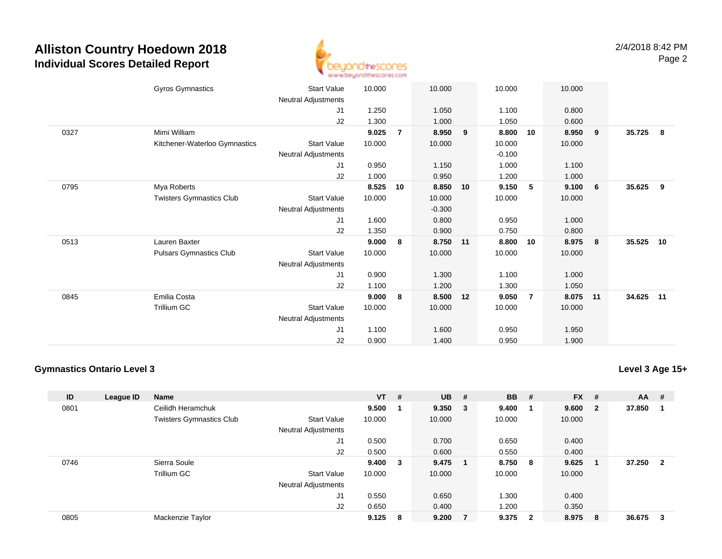

|      | <b>Gyros Gymnastics</b>         | <b>Start Value</b>         | 10.000 |                | 10.000   |    | 10.000   |                 | 10.000 |    |        |     |
|------|---------------------------------|----------------------------|--------|----------------|----------|----|----------|-----------------|--------|----|--------|-----|
|      |                                 | Neutral Adjustments        |        |                |          |    |          |                 |        |    |        |     |
|      |                                 | J1                         | 1.250  |                | 1.050    |    | 1.100    |                 | 0.800  |    |        |     |
|      |                                 | J2                         | 1.300  |                | 1.000    |    | 1.050    |                 | 0.600  |    |        |     |
| 0327 | Mimi William                    |                            | 9.025  | $\overline{7}$ | 8.950    | 9  | 8.800    | 10              | 8.950  | 9  | 35.725 | - 8 |
|      | Kitchener-Waterloo Gymnastics   | Start Value                | 10.000 |                | 10.000   |    | 10.000   |                 | 10.000 |    |        |     |
|      |                                 | Neutral Adjustments        |        |                |          |    | $-0.100$ |                 |        |    |        |     |
|      |                                 | J1                         | 0.950  |                | 1.150    |    | 1.000    |                 | 1.100  |    |        |     |
|      |                                 | J2                         | 1.000  |                | 0.950    |    | 1.200    |                 | 1.000  |    |        |     |
| 0795 | Mya Roberts                     |                            | 8.525  | 10             | 8.850    | 10 | 9.150    | $5\phantom{.0}$ | 9.100  | 6  | 35.625 | 9   |
|      | <b>Twisters Gymnastics Club</b> | <b>Start Value</b>         | 10.000 |                | 10.000   |    | 10.000   |                 | 10.000 |    |        |     |
|      |                                 | <b>Neutral Adjustments</b> |        |                | $-0.300$ |    |          |                 |        |    |        |     |
|      |                                 | J1                         | 1.600  |                | 0.800    |    | 0.950    |                 | 1.000  |    |        |     |
|      |                                 | J2                         | 1.350  |                | 0.900    |    | 0.750    |                 | 0.800  |    |        |     |
| 0513 | Lauren Baxter                   |                            | 9.000  | 8              | 8.750 11 |    | 8.800    | 10              | 8.975  | 8  | 35.525 | 10  |
|      | <b>Pulsars Gymnastics Club</b>  | <b>Start Value</b>         | 10.000 |                | 10.000   |    | 10.000   |                 | 10.000 |    |        |     |
|      |                                 | Neutral Adjustments        |        |                |          |    |          |                 |        |    |        |     |
|      |                                 | J1                         | 0.900  |                | 1.300    |    | 1.100    |                 | 1.000  |    |        |     |
|      |                                 | J2                         | 1.100  |                | 1.200    |    | 1.300    |                 | 1.050  |    |        |     |
| 0845 | Emilia Costa                    |                            | 9.000  | 8              | 8.500    | 12 | 9.050    | $\overline{7}$  | 8.075  | 11 | 34.625 | 11  |
|      | Trillium GC                     | <b>Start Value</b>         | 10.000 |                | 10.000   |    | 10.000   |                 | 10.000 |    |        |     |
|      |                                 | <b>Neutral Adjustments</b> |        |                |          |    |          |                 |        |    |        |     |
|      |                                 | J1                         | 1.100  |                | 1.600    |    | 0.950    |                 | 1.950  |    |        |     |
|      |                                 | J <sub>2</sub>             | 0.900  |                | 1.400    |    | 0.950    |                 | 1.900  |    |        |     |
|      |                                 |                            |        |                |          |    |          |                 |        |    |        |     |

#### **Gymnastics Ontario Level 3**

**Level 3 Age 15+**

| ID   | League ID | <b>Name</b>                     |                            | $VT$ # |                         | $UB$ #  | <b>BB</b> | #                       | <b>FX</b> | #                       | AA     | #                       |
|------|-----------|---------------------------------|----------------------------|--------|-------------------------|---------|-----------|-------------------------|-----------|-------------------------|--------|-------------------------|
| 0801 |           | Ceilidh Heramchuk               |                            | 9.500  |                         | 9.350 3 | 9.400     | - 1                     | 9.600     | $\overline{\mathbf{2}}$ | 37.850 | -1                      |
|      |           | <b>Twisters Gymnastics Club</b> | <b>Start Value</b>         | 10.000 |                         | 10.000  | 10.000    |                         | 10.000    |                         |        |                         |
|      |           |                                 | <b>Neutral Adjustments</b> |        |                         |         |           |                         |           |                         |        |                         |
|      |           |                                 | J <sub>1</sub>             | 0.500  |                         | 0.700   | 0.650     |                         | 0.400     |                         |        |                         |
|      |           |                                 | J2                         | 0.500  |                         | 0.600   | 0.550     |                         | 0.400     |                         |        |                         |
| 0746 |           | Sierra Soule                    |                            | 9.400  | $\overline{\mathbf{3}}$ | 9.475   | 8.750     | - 8                     | 9.625     |                         | 37.250 | $\overline{\mathbf{2}}$ |
|      |           | Trillium GC                     | <b>Start Value</b>         | 10.000 |                         | 10.000  | 10.000    |                         | 10.000    |                         |        |                         |
|      |           |                                 | Neutral Adjustments        |        |                         |         |           |                         |           |                         |        |                         |
|      |           |                                 | J <sub>1</sub>             | 0.550  |                         | 0.650   | 1.300     |                         | 0.400     |                         |        |                         |
|      |           |                                 | J2                         | 0.650  |                         | 0.400   | 1.200     |                         | 0.350     |                         |        |                         |
| 0805 |           | Mackenzie Taylor                |                            | 9.125  | - 8                     | 9.200   | 9.375     | $\overline{\mathbf{2}}$ | 8.975     | - 8                     | 36.675 | -3                      |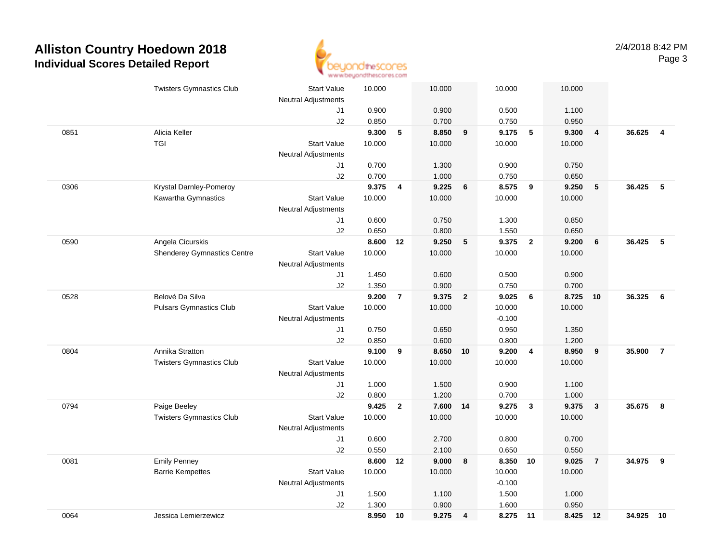

|      | <b>Twisters Gymnastics Club</b>    | <b>Start Value</b>         | 10.000 |                | 10.000   |                         | 10.000   |                         |          |                         |           |                         |
|------|------------------------------------|----------------------------|--------|----------------|----------|-------------------------|----------|-------------------------|----------|-------------------------|-----------|-------------------------|
|      |                                    |                            |        |                |          |                         |          |                         | 10.000   |                         |           |                         |
|      |                                    | Neutral Adjustments        |        |                |          |                         |          |                         |          |                         |           |                         |
|      |                                    | J1                         | 0.900  |                | 0.900    |                         | 0.500    |                         | 1.100    |                         |           |                         |
|      |                                    | J2                         | 0.850  |                | 0.700    |                         | 0.750    |                         | 0.950    |                         |           |                         |
| 0851 | Alicia Keller                      |                            | 9.300  | 5              | 8.850    | 9                       | 9.175    | $-5$                    | 9.300    | $\overline{4}$          | 36.625    | $\overline{4}$          |
|      | TGI                                | <b>Start Value</b>         | 10.000 |                | 10.000   |                         | 10.000   |                         | 10.000   |                         |           |                         |
|      |                                    | <b>Neutral Adjustments</b> |        |                |          |                         |          |                         |          |                         |           |                         |
|      |                                    | J1                         | 0.700  |                | 1.300    |                         | 0.900    |                         | 0.750    |                         |           |                         |
|      |                                    | J2                         | 0.700  |                | 1.000    |                         | 0.750    |                         | 0.650    |                         |           |                         |
| 0306 | Krystal Darnley-Pomeroy            |                            | 9.375  | 4              | 9.225    | 6                       | 8.575    | 9                       | 9.250    | 5                       | 36.425    | 5                       |
|      | Kawartha Gymnastics                | <b>Start Value</b>         | 10.000 |                | 10.000   |                         | 10.000   |                         | 10.000   |                         |           |                         |
|      |                                    | Neutral Adjustments        |        |                |          |                         |          |                         |          |                         |           |                         |
|      |                                    | J1                         | 0.600  |                | 0.750    |                         | 1.300    |                         | 0.850    |                         |           |                         |
|      |                                    | J2                         | 0.650  |                | 0.800    |                         | 1.550    |                         | 0.650    |                         |           |                         |
| 0590 | Angela Cicurskis                   |                            | 8.600  | 12             | 9.250    | 5                       | 9.375    | $\overline{\mathbf{2}}$ | 9.200    | $6\phantom{1}6$         | 36.425    | $-5$                    |
|      | <b>Shenderey Gymnastics Centre</b> | <b>Start Value</b>         | 10.000 |                | 10.000   |                         | 10.000   |                         | 10.000   |                         |           |                         |
|      |                                    | Neutral Adjustments        |        |                |          |                         |          |                         |          |                         |           |                         |
|      |                                    | J1                         | 1.450  |                | 0.600    |                         | 0.500    |                         | 0.900    |                         |           |                         |
|      |                                    | J2                         | 1.350  |                | 0.900    |                         | 0.750    |                         | 0.700    |                         |           |                         |
| 0528 | Belové Da Silva                    |                            | 9.200  | $\overline{7}$ | 9.375    | $\overline{2}$          | 9.025    | 6                       | 8.725 10 |                         | 36.325    | 6                       |
|      | <b>Pulsars Gymnastics Club</b>     | <b>Start Value</b>         | 10.000 |                | 10.000   |                         | 10.000   |                         | 10.000   |                         |           |                         |
|      |                                    | <b>Neutral Adjustments</b> |        |                |          |                         | $-0.100$ |                         |          |                         |           |                         |
|      |                                    | J1                         | 0.750  |                | 0.650    |                         | 0.950    |                         | 1.350    |                         |           |                         |
|      |                                    | J2                         | 0.850  |                | 0.600    |                         | 0.800    |                         | 1.200    |                         |           |                         |
| 0804 | Annika Stratton                    |                            | 9.100  | 9              | 8.650    | 10                      | 9.200    | $\overline{4}$          | 8.950    | 9                       | 35.900    | $\overline{7}$          |
|      | <b>Twisters Gymnastics Club</b>    | <b>Start Value</b>         | 10.000 |                | 10.000   |                         | 10.000   |                         | 10.000   |                         |           |                         |
|      |                                    | Neutral Adjustments        |        |                |          |                         |          |                         |          |                         |           |                         |
|      |                                    | J1                         | 1.000  |                | 1.500    |                         | 0.900    |                         | 1.100    |                         |           |                         |
|      |                                    | J2                         | 0.800  |                | 1.200    |                         | 0.700    |                         | 1.000    |                         |           |                         |
| 0794 | Paige Beeley                       |                            | 9.425  | $\overline{2}$ | 7.600 14 |                         | 9.275    | $\overline{\mathbf{3}}$ | 9.375    | $\overline{\mathbf{3}}$ | 35.675    | $\overline{\mathbf{8}}$ |
|      | <b>Twisters Gymnastics Club</b>    | <b>Start Value</b>         | 10.000 |                | 10.000   |                         | 10.000   |                         | 10.000   |                         |           |                         |
|      |                                    | Neutral Adjustments        |        |                |          |                         |          |                         |          |                         |           |                         |
|      |                                    | J1                         | 0.600  |                | 2.700    |                         | 0.800    |                         | 0.700    |                         |           |                         |
|      |                                    | J2                         | 0.550  |                | 2.100    |                         | 0.650    |                         | 0.550    |                         |           |                         |
| 0081 | <b>Emily Penney</b>                |                            | 8.600  | 12             | 9.000    | 8                       | 8.350    | 10                      | 9.025    | $\overline{7}$          | 34.975    | 9                       |
|      | <b>Barrie Kempettes</b>            | <b>Start Value</b>         | 10.000 |                | 10.000   |                         | 10.000   |                         | 10.000   |                         |           |                         |
|      |                                    | Neutral Adjustments        |        |                |          |                         | $-0.100$ |                         |          |                         |           |                         |
|      |                                    | J1                         | 1.500  |                | 1.100    |                         | 1.500    |                         | 1.000    |                         |           |                         |
|      |                                    | J2                         | 1.300  |                | 0.900    |                         | 1.600    |                         | 0.950    |                         |           |                         |
| 0064 | Jessica Lemierzewicz               |                            | 8.950  | 10             | 9.275    | $\overline{\mathbf{4}}$ | 8.275 11 |                         | 8.425 12 |                         | 34.925 10 |                         |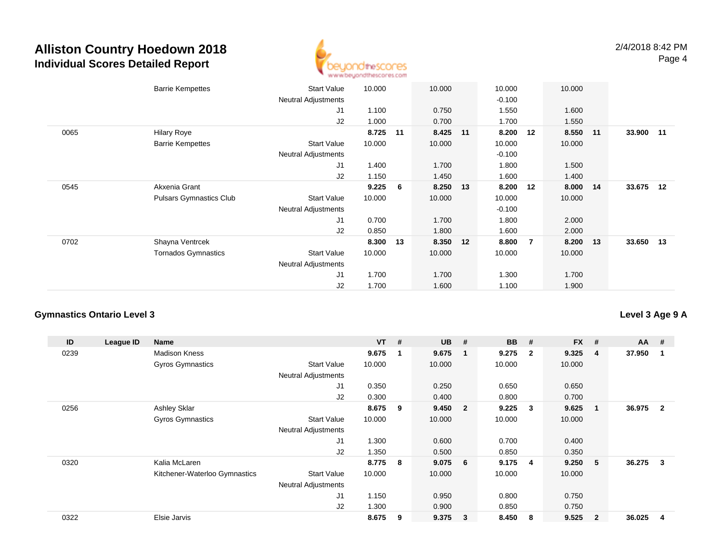

|      | <b>Barrie Kempettes</b>        | <b>Start Value</b>         | 10.000 |    | 10.000   |    | 10.000   |                | 10.000 |    |           |  |
|------|--------------------------------|----------------------------|--------|----|----------|----|----------|----------------|--------|----|-----------|--|
|      |                                |                            |        |    |          |    |          |                |        |    |           |  |
|      |                                | <b>Neutral Adjustments</b> |        |    |          |    | $-0.100$ |                |        |    |           |  |
|      |                                | J1                         | 1.100  |    | 0.750    |    | 1.550    |                | 1.600  |    |           |  |
|      |                                | J2                         | 1.000  |    | 0.700    |    | 1.700    |                | 1.550  |    |           |  |
| 0065 | <b>Hilary Roye</b>             |                            | 8.725  | 11 | 8.425 11 |    | 8.200    | 12             | 8.550  | 11 | 33.900 11 |  |
|      | <b>Barrie Kempettes</b>        | <b>Start Value</b>         | 10.000 |    | 10.000   |    | 10.000   |                | 10.000 |    |           |  |
|      |                                | Neutral Adjustments        |        |    |          |    | $-0.100$ |                |        |    |           |  |
|      |                                | J1                         | 1.400  |    | 1.700    |    | 1.800    |                | 1.500  |    |           |  |
|      |                                | J2                         | 1.150  |    | 1.450    |    | 1.600    |                | 1.400  |    |           |  |
| 0545 | Akxenia Grant                  |                            | 9.225  | 6  | 8.250    | 13 | 8.200    | 12             | 8.000  | 14 | 33.675 12 |  |
|      | <b>Pulsars Gymnastics Club</b> | <b>Start Value</b>         | 10.000 |    | 10.000   |    | 10.000   |                | 10.000 |    |           |  |
|      |                                | Neutral Adjustments        |        |    |          |    | $-0.100$ |                |        |    |           |  |
|      |                                | J1                         | 0.700  |    | 1.700    |    | 1.800    |                | 2.000  |    |           |  |
|      |                                | J2                         | 0.850  |    | 1.800    |    | 1.600    |                | 2.000  |    |           |  |
| 0702 | Shayna Ventrcek                |                            | 8.300  | 13 | 8.350    | 12 | 8.800    | $\overline{7}$ | 8.200  | 13 | 33.650 13 |  |
|      | <b>Tornados Gymnastics</b>     | <b>Start Value</b>         | 10.000 |    | 10.000   |    | 10.000   |                | 10.000 |    |           |  |
|      |                                | <b>Neutral Adjustments</b> |        |    |          |    |          |                |        |    |           |  |
|      |                                | J1                         | 1.700  |    | 1.700    |    | 1.300    |                | 1.700  |    |           |  |
|      |                                | J2                         | 1.700  |    | 1.600    |    | 1.100    |                | 1.900  |    |           |  |
|      |                                |                            |        |    |          |    |          |                |        |    |           |  |

#### **Gymnastics Ontario Level 3**

**ID League ID Name VT # UB # BB # FX # AA #** 0239 Madison Kness **9.675 <sup>1</sup> 9.675 <sup>1</sup> 9.275 <sup>2</sup> 9.325 <sup>4</sup> 37.950 <sup>1</sup>** Gyros Gymnastics Start Valuee 10.000 10.000 10.000 10.000 Neutral Adjustments J1 0.350 0.250 0.650 0.650 J2 0.300 0.400 0.800 0.700 0256 Ashley Sklar **8.675 <sup>9</sup> 9.450 <sup>2</sup> 9.225 <sup>3</sup> 9.625 <sup>1</sup> 36.975 <sup>2</sup>** Gyros Gymnastics Start Valuee 10.000 10.000 10.000 10.000 Neutral Adjustments J1 1.300 0.600 0.700 0.400 J2 1.350 0.500 0.850 0.350 0320 Kalia McLaren **8.775 <sup>8</sup> 9.075 <sup>6</sup> 9.175 <sup>4</sup> 9.250 <sup>5</sup> 36.275 <sup>3</sup>** Kitchener-Waterloo Gymnastics Start Valuee 10.000 10.000 10.000 10.000 Neutral Adjustments J1 1.150 0.950 0.800 0.750 J2 1.300 0.900 0.850 0.750 0322Elsie Jarvis **8.675 <sup>9</sup> 9.375 <sup>3</sup> 8.450 <sup>8</sup> 9.525 <sup>2</sup> 36.025 <sup>4</sup>**

**Level 3 Age 9 A**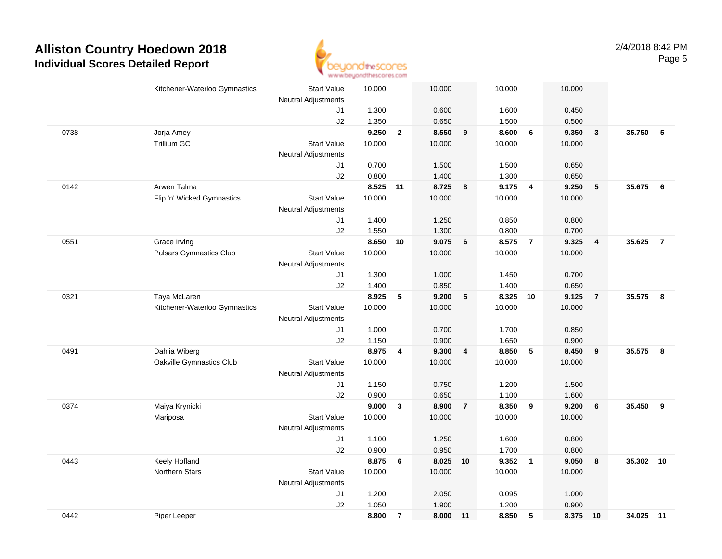

|      | Kitchener-Waterloo Gymnastics  | <b>Start Value</b>         | 10.000   |                | 10.000 |                | 10.000   |                         | 10.000   |                         |           |                |
|------|--------------------------------|----------------------------|----------|----------------|--------|----------------|----------|-------------------------|----------|-------------------------|-----------|----------------|
|      |                                | <b>Neutral Adjustments</b> |          |                |        |                |          |                         |          |                         |           |                |
|      |                                | J1                         | 1.300    |                | 0.600  |                | 1.600    |                         | 0.450    |                         |           |                |
|      |                                | J2                         | 1.350    |                | 0.650  |                | 1.500    |                         | 0.500    |                         |           |                |
| 0738 | Jorja Amey                     |                            | 9.250    | $\overline{2}$ | 8.550  | 9              | 8.600    | $6\phantom{a}$          | 9.350    | $\overline{\mathbf{3}}$ | 35.750    | - 5            |
|      | <b>Trillium GC</b>             | <b>Start Value</b>         | 10.000   |                | 10.000 |                | 10.000   |                         | 10.000   |                         |           |                |
|      |                                | <b>Neutral Adjustments</b> |          |                |        |                |          |                         |          |                         |           |                |
|      |                                | J1                         | 0.700    |                | 1.500  |                | 1.500    |                         | 0.650    |                         |           |                |
|      |                                | J2                         | 0.800    |                | 1.400  |                | 1.300    |                         | 0.650    |                         |           |                |
| 0142 | Arwen Talma                    |                            | 8.525 11 |                | 8.725  | 8              | 9.175    | $\overline{\mathbf{4}}$ | 9.250    | 5                       | 35.675    | - 6            |
|      | Flip 'n' Wicked Gymnastics     | <b>Start Value</b>         | 10.000   |                | 10.000 |                | 10.000   |                         | 10.000   |                         |           |                |
|      |                                | <b>Neutral Adjustments</b> |          |                |        |                |          |                         |          |                         |           |                |
|      |                                | J1                         | 1.400    |                | 1.250  |                | 0.850    |                         | 0.800    |                         |           |                |
|      |                                | J2                         | 1.550    |                | 1.300  |                | 0.800    |                         | 0.700    |                         |           |                |
| 0551 | Grace Irving                   |                            | 8.650    | 10             | 9.075  | 6              | 8.575    | $\overline{7}$          | 9.325    | $\overline{\mathbf{4}}$ | 35.625    | $\overline{7}$ |
|      | <b>Pulsars Gymnastics Club</b> | <b>Start Value</b>         | 10.000   |                | 10.000 |                | 10.000   |                         | 10.000   |                         |           |                |
|      |                                | <b>Neutral Adjustments</b> |          |                |        |                |          |                         |          |                         |           |                |
|      |                                | J1                         | 1.300    |                | 1.000  |                | 1.450    |                         | 0.700    |                         |           |                |
|      |                                | J2                         | 1.400    |                | 0.850  |                | 1.400    |                         | 0.650    |                         |           |                |
| 0321 | Taya McLaren                   |                            | 8.925    | 5              | 9.200  | ${\bf 5}$      | 8.325 10 |                         | 9.125    | $\overline{7}$          | 35.575    | 8              |
|      | Kitchener-Waterloo Gymnastics  | <b>Start Value</b>         | 10.000   |                | 10.000 |                | 10.000   |                         | 10.000   |                         |           |                |
|      |                                | <b>Neutral Adjustments</b> |          |                |        |                |          |                         |          |                         |           |                |
|      |                                | J1                         | 1.000    |                | 0.700  |                | 1.700    |                         | 0.850    |                         |           |                |
|      |                                | J2                         | 1.150    |                | 0.900  |                | 1.650    |                         | 0.900    |                         |           |                |
| 0491 | Dahlia Wiberg                  |                            | 8.975    | 4              | 9.300  | 4              | 8.850    | 5                       | 8.450    | 9                       | 35.575    | 8              |
|      | Oakville Gymnastics Club       | <b>Start Value</b>         | 10.000   |                | 10.000 |                | 10.000   |                         | 10.000   |                         |           |                |
|      |                                | <b>Neutral Adjustments</b> |          |                |        |                |          |                         |          |                         |           |                |
|      |                                | J1                         | 1.150    |                | 0.750  |                | 1.200    |                         | 1.500    |                         |           |                |
|      |                                | J2                         | 0.900    |                | 0.650  |                | 1.100    |                         | 1.600    |                         |           |                |
| 0374 | Maiya Krynicki                 |                            | 9.000    | $\mathbf{3}$   | 8.900  | $\overline{7}$ | 8.350    | 9                       | 9.200    | $6\phantom{1}6$         | 35.450    | - 9            |
|      | Mariposa                       | <b>Start Value</b>         | 10.000   |                | 10.000 |                | 10.000   |                         | 10.000   |                         |           |                |
|      |                                | <b>Neutral Adjustments</b> |          |                |        |                |          |                         |          |                         |           |                |
|      |                                | J1                         | 1.100    |                | 1.250  |                | 1.600    |                         | 0.800    |                         |           |                |
|      |                                | J2                         | 0.900    |                | 0.950  |                | 1.700    |                         | 0.800    |                         |           |                |
| 0443 | Keely Hofland                  |                            | 8.875    | 6              | 8.025  | 10             | 9.352    | $\overline{1}$          | 9.050    | $\bf{8}$                | 35.302    | 10             |
|      | Northern Stars                 | <b>Start Value</b>         | 10.000   |                | 10.000 |                | 10.000   |                         | 10.000   |                         |           |                |
|      |                                | Neutral Adjustments        |          |                |        |                |          |                         |          |                         |           |                |
|      |                                | J1                         | 1.200    |                | 2.050  |                | 0.095    |                         | 1.000    |                         |           |                |
|      |                                | J2                         | 1.050    |                | 1.900  |                | 1.200    |                         | 0.900    |                         |           |                |
| 0442 | Piper Leeper                   |                            | 8.800    | $\overline{7}$ | 8.000  | 11             | 8.850    | 5                       | 8.375 10 |                         | 34.025 11 |                |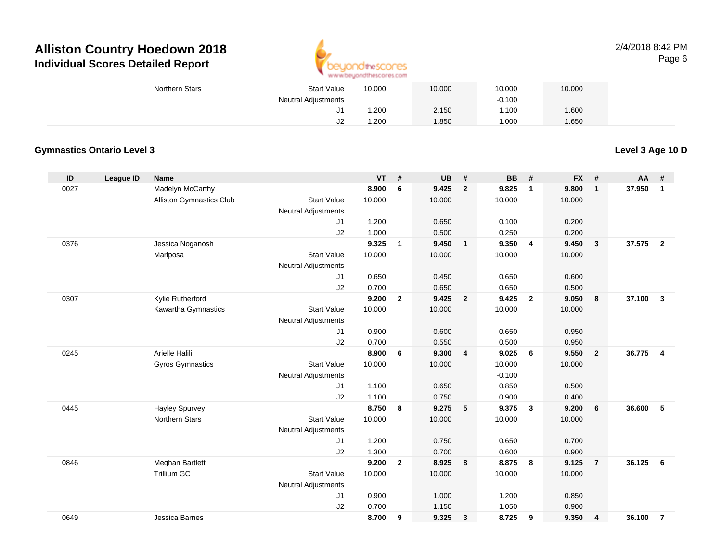

#### 2/4/2018 8:42 PMPage 6

| Northern Stars | <b>Start Value</b>         | 10.000 | 10.000 | 10.000   | 10.000 |  |
|----------------|----------------------------|--------|--------|----------|--------|--|
|                | <b>Neutral Adjustments</b> |        |        | $-0.100$ |        |  |
|                | J1                         | .200   | 2.150  | .100     | .600   |  |
|                | J <sub>2</sub>             | .200   | .850   | .000     | .650   |  |

#### **Gymnastics Ontario Level 3**

**Level 3 Age 10 D**

| ID   | League ID | <b>Name</b>                     |                            | <b>VT</b> | #              | <b>UB</b> | #              | <b>BB</b> | #              | <b>FX</b> | #                       | AA     | #              |
|------|-----------|---------------------------------|----------------------------|-----------|----------------|-----------|----------------|-----------|----------------|-----------|-------------------------|--------|----------------|
| 0027 |           | Madelyn McCarthy                |                            | 8.900     | 6              | 9.425     | $\overline{2}$ | 9.825     | $\overline{1}$ | 9.800     | $\mathbf{1}$            | 37.950 | $\mathbf{1}$   |
|      |           | <b>Alliston Gymnastics Club</b> | <b>Start Value</b>         | 10.000    |                | 10.000    |                | 10.000    |                | 10.000    |                         |        |                |
|      |           |                                 | Neutral Adjustments        |           |                |           |                |           |                |           |                         |        |                |
|      |           |                                 | J1                         | 1.200     |                | 0.650     |                | 0.100     |                | 0.200     |                         |        |                |
|      |           |                                 | J2                         | 1.000     |                | 0.500     |                | 0.250     |                | 0.200     |                         |        |                |
| 0376 |           | Jessica Noganosh                |                            | 9.325     | $\mathbf{1}$   | 9.450     | $\mathbf{1}$   | 9.350     | $\overline{4}$ | 9.450     | $\mathbf{3}$            | 37.575 | $\overline{2}$ |
|      |           | Mariposa                        | <b>Start Value</b>         | 10.000    |                | 10.000    |                | 10.000    |                | 10.000    |                         |        |                |
|      |           |                                 | <b>Neutral Adjustments</b> |           |                |           |                |           |                |           |                         |        |                |
|      |           |                                 | J1                         | 0.650     |                | 0.450     |                | 0.650     |                | 0.600     |                         |        |                |
|      |           |                                 | J2                         | 0.700     |                | 0.650     |                | 0.650     |                | 0.500     |                         |        |                |
| 0307 |           | Kylie Rutherford                |                            | 9.200     | $\overline{2}$ | 9.425     | $\overline{2}$ | 9.425     | $\overline{2}$ | 9.050     | 8                       | 37.100 | $\mathbf{3}$   |
|      |           | Kawartha Gymnastics             | <b>Start Value</b>         | 10.000    |                | 10.000    |                | 10.000    |                | 10.000    |                         |        |                |
|      |           |                                 | Neutral Adjustments        |           |                |           |                |           |                |           |                         |        |                |
|      |           |                                 | J1                         | 0.900     |                | 0.600     |                | 0.650     |                | 0.950     |                         |        |                |
|      |           |                                 | J2                         | 0.700     |                | 0.550     |                | 0.500     |                | 0.950     |                         |        |                |
| 0245 |           | Arielle Halili                  |                            | 8.900     | 6              | 9.300     | $\overline{4}$ | 9.025     | 6              | 9.550     | $\overline{2}$          | 36.775 | $\overline{4}$ |
|      |           | <b>Gyros Gymnastics</b>         | <b>Start Value</b>         | 10.000    |                | 10.000    |                | 10.000    |                | 10.000    |                         |        |                |
|      |           |                                 | Neutral Adjustments        |           |                |           |                | $-0.100$  |                |           |                         |        |                |
|      |           |                                 | J1                         | 1.100     |                | 0.650     |                | 0.850     |                | 0.500     |                         |        |                |
|      |           |                                 | J2                         | 1.100     |                | 0.750     |                | 0.900     |                | 0.400     |                         |        |                |
| 0445 |           | <b>Hayley Spurvey</b>           |                            | 8.750     | 8              | 9.275     | 5              | 9.375     | $\mathbf{3}$   | 9.200     | 6                       | 36,600 | 5              |
|      |           | <b>Northern Stars</b>           | <b>Start Value</b>         | 10.000    |                | 10.000    |                | 10.000    |                | 10.000    |                         |        |                |
|      |           |                                 | Neutral Adjustments        |           |                |           |                |           |                |           |                         |        |                |
|      |           |                                 | J1                         | 1.200     |                | 0.750     |                | 0.650     |                | 0.700     |                         |        |                |
|      |           |                                 | J2                         | 1.300     |                | 0.700     |                | 0.600     |                | 0.900     |                         |        |                |
| 0846 |           | Meghan Bartlett                 |                            | 9.200     | $\overline{2}$ | 8.925     | 8              | 8.875     | 8              | 9.125     | $\overline{7}$          | 36.125 | 6              |
|      |           | <b>Trillium GC</b>              | <b>Start Value</b>         | 10.000    |                | 10.000    |                | 10.000    |                | 10.000    |                         |        |                |
|      |           |                                 | Neutral Adjustments        |           |                |           |                |           |                |           |                         |        |                |
|      |           |                                 | J1                         | 0.900     |                | 1.000     |                | 1.200     |                | 0.850     |                         |        |                |
|      |           |                                 | J2                         | 0.700     |                | 1.150     |                | 1.050     |                | 0.900     |                         |        |                |
| 0649 |           | Jessica Barnes                  |                            | 8.700     | 9              | 9.325     | $\mathbf{3}$   | 8.725     | 9              | 9.350     | $\overline{\mathbf{4}}$ | 36.100 | $\overline{7}$ |
|      |           |                                 |                            |           |                |           |                |           |                |           |                         |        |                |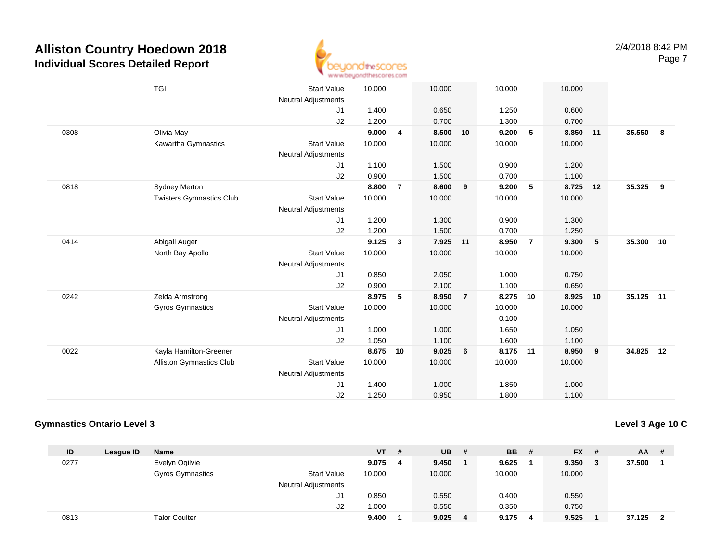

|      | <b>TGI</b>                      | <b>Start Value</b><br><b>Neutral Adjustments</b> | 10.000<br>1.400 |                | 10.000         |                | 10.000         |                | 10.000         |                 |           |    |
|------|---------------------------------|--------------------------------------------------|-----------------|----------------|----------------|----------------|----------------|----------------|----------------|-----------------|-----------|----|
|      |                                 | J1<br>J2                                         | 1.200           |                | 0.650<br>0.700 |                | 1.250<br>1.300 |                | 0.600<br>0.700 |                 |           |    |
| 0308 | Olivia May                      |                                                  | 9.000           | 4              | 8.500          | 10             | 9.200          | 5              | 8.850          | 11              | 35.550    | 8  |
|      | Kawartha Gymnastics             | <b>Start Value</b>                               | 10.000          |                | 10.000         |                | 10.000         |                | 10.000         |                 |           |    |
|      |                                 | <b>Neutral Adjustments</b>                       |                 |                |                |                |                |                |                |                 |           |    |
|      |                                 | J1                                               | 1.100           |                | 1.500          |                | 0.900          |                | 1.200          |                 |           |    |
|      |                                 | J2                                               | 0.900           |                | 1.500          |                | 0.700          |                | 1.100          |                 |           |    |
| 0818 | <b>Sydney Merton</b>            |                                                  | 8.800           | $\overline{7}$ | 8.600          | 9              | 9.200          | 5              | 8.725          | 12              | 35.325    | 9  |
|      | <b>Twisters Gymnastics Club</b> | <b>Start Value</b>                               | 10.000          |                | 10.000         |                | 10.000         |                | 10.000         |                 |           |    |
|      |                                 | <b>Neutral Adjustments</b>                       |                 |                |                |                |                |                |                |                 |           |    |
|      |                                 | J1                                               | 1.200           |                | 1.300          |                | 0.900          |                | 1.300          |                 |           |    |
|      |                                 | J2                                               | 1.200           |                | 1.500          |                | 0.700          |                | 1.250          |                 |           |    |
| 0414 | Abigail Auger                   |                                                  | 9.125           | $\mathbf{3}$   | 7.925          | 11             | 8.950          | $\overline{7}$ | 9.300          | $5\phantom{.0}$ | 35.300    | 10 |
|      | North Bay Apollo                | <b>Start Value</b>                               | 10.000          |                | 10.000         |                | 10.000         |                | 10.000         |                 |           |    |
|      |                                 | <b>Neutral Adjustments</b>                       |                 |                |                |                |                |                |                |                 |           |    |
|      |                                 | J1                                               | 0.850           |                | 2.050          |                | 1.000          |                | 0.750          |                 |           |    |
|      |                                 | J2                                               | 0.900           |                | 2.100          |                | 1.100          |                | 0.650          |                 |           |    |
| 0242 | Zelda Armstrong                 |                                                  | 8.975           | 5              | 8.950          | $\overline{7}$ | 8.275          | 10             | 8.925          | 10              | 35.125    | 11 |
|      | <b>Gyros Gymnastics</b>         | <b>Start Value</b>                               | 10.000          |                | 10.000         |                | 10.000         |                | 10.000         |                 |           |    |
|      |                                 | <b>Neutral Adjustments</b>                       |                 |                |                |                | $-0.100$       |                |                |                 |           |    |
|      |                                 | J1                                               | 1.000           |                | 1.000          |                | 1.650          |                | 1.050          |                 |           |    |
|      |                                 | J2                                               | 1.050           |                | 1.100          |                | 1.600          |                | 1.100          |                 |           |    |
| 0022 | Kayla Hamilton-Greener          |                                                  | 8.675           | 10             | 9.025          | 6              | 8.175          | 11             | 8.950          | 9               | 34.825 12 |    |
|      | <b>Alliston Gymnastics Club</b> | <b>Start Value</b>                               | 10.000          |                | 10.000         |                | 10.000         |                | 10.000         |                 |           |    |
|      |                                 | <b>Neutral Adjustments</b>                       |                 |                |                |                |                |                |                |                 |           |    |
|      |                                 | J1                                               | 1.400           |                | 1.000          |                | 1.850          |                | 1.000          |                 |           |    |
|      |                                 | J2                                               | 1.250           |                | 0.950          |                | 1.800          |                | 1.100          |                 |           |    |

#### **Gymnastics Ontario Level 3**

**Level 3 Age 10 C**

| ID   | League ID | <b>Name</b>          |                            | <b>VT</b> | # | UB.    | # | <b>BB</b> | # | <b>FX</b> | - # | <b>AA</b> | - #                     |
|------|-----------|----------------------|----------------------------|-----------|---|--------|---|-----------|---|-----------|-----|-----------|-------------------------|
| 0277 |           | Evelyn Ogilvie       |                            | 9.075     | 4 | 9.450  |   | 9.625     |   | 9.350     |     | 37.500    |                         |
|      |           | Gyros Gymnastics     | <b>Start Value</b>         | 10.000    |   | 10.000 |   | 10.000    |   | 10.000    |     |           |                         |
|      |           |                      | <b>Neutral Adjustments</b> |           |   |        |   |           |   |           |     |           |                         |
|      |           |                      | J1                         | 0.850     |   | 0.550  |   | 0.400     |   | 0.550     |     |           |                         |
|      |           |                      | J2                         | 1.000     |   | 0.550  |   | 0.350     |   | 0.750     |     |           |                         |
| 0813 |           | <b>Talor Coulter</b> |                            | 9.400     |   | 9.025  | 4 | 9.175     | 4 | 9.525     |     | 37.125    | $\overline{\mathbf{2}}$ |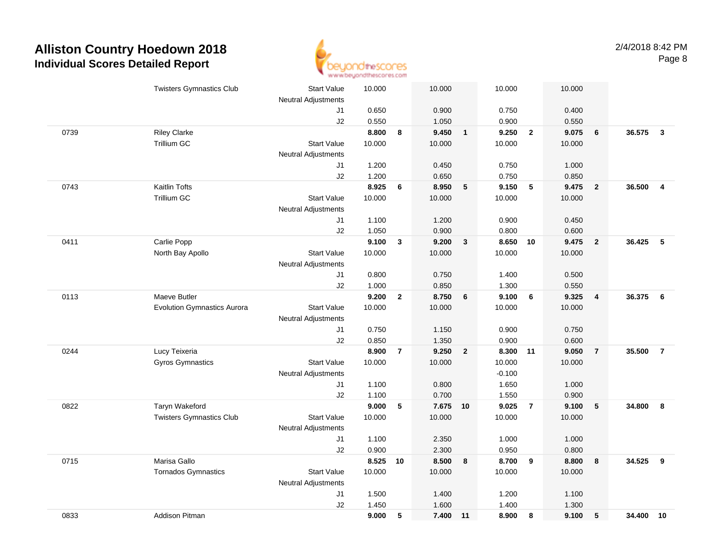

|      | <b>Twisters Gymnastics Club</b>    | <b>Start Value</b><br><b>Neutral Adjustments</b> | 10.000 |                | 10.000   |                         | 10.000   |                 | 10.000 |                 |        |                |
|------|------------------------------------|--------------------------------------------------|--------|----------------|----------|-------------------------|----------|-----------------|--------|-----------------|--------|----------------|
|      |                                    | J1                                               | 0.650  |                | 0.900    |                         | 0.750    |                 | 0.400  |                 |        |                |
|      |                                    | J2                                               | 0.550  |                | 1.050    |                         | 0.900    |                 | 0.550  |                 |        |                |
| 0739 | <b>Riley Clarke</b>                |                                                  | 8.800  | 8              | 9.450    | $\overline{1}$          | 9.250    | $\overline{2}$  | 9.075  | $6\phantom{1}6$ | 36.575 | $\mathbf{3}$   |
|      | Trillium GC                        | <b>Start Value</b>                               | 10.000 |                | 10.000   |                         | 10.000   |                 | 10.000 |                 |        |                |
|      |                                    | <b>Neutral Adjustments</b>                       |        |                |          |                         |          |                 |        |                 |        |                |
|      |                                    | J1                                               | 1.200  |                | 0.450    |                         | 0.750    |                 | 1.000  |                 |        |                |
|      |                                    | J2                                               | 1.200  |                | 0.650    |                         | 0.750    |                 | 0.850  |                 |        |                |
| 0743 | <b>Kaitlin Tofts</b>               |                                                  | 8.925  | 6              | 8.950    | 5                       | 9.150    | 5               | 9.475  | $\overline{2}$  | 36.500 | $\overline{4}$ |
|      | Trillium GC                        | <b>Start Value</b>                               | 10.000 |                | 10.000   |                         | 10.000   |                 | 10.000 |                 |        |                |
|      |                                    | Neutral Adjustments                              |        |                |          |                         |          |                 |        |                 |        |                |
|      |                                    | J1                                               | 1.100  |                | 1.200    |                         | 0.900    |                 | 0.450  |                 |        |                |
|      |                                    | J2                                               | 1.050  |                | 0.900    |                         | 0.800    |                 | 0.600  |                 |        |                |
| 0411 | Carlie Popp                        |                                                  | 9.100  | $\mathbf{3}$   | 9.200    | $\mathbf{3}$            | 8.650 10 |                 | 9.475  | $\overline{2}$  | 36.425 | 5              |
|      | North Bay Apollo                   | <b>Start Value</b>                               | 10.000 |                | 10.000   |                         | 10.000   |                 | 10.000 |                 |        |                |
|      |                                    | Neutral Adjustments                              |        |                |          |                         |          |                 |        |                 |        |                |
|      |                                    | J1                                               | 0.800  |                | 0.750    |                         | 1.400    |                 | 0.500  |                 |        |                |
|      |                                    | J2                                               | 1.000  |                | 0.850    |                         | 1.300    |                 | 0.550  |                 |        |                |
| 0113 | Maeve Butler                       |                                                  | 9.200  | $\overline{2}$ | 8.750    | $6\phantom{1}6$         | 9.100    | $6\overline{6}$ | 9.325  | $\overline{4}$  | 36.375 | 6              |
|      | <b>Evolution Gymnastics Aurora</b> | <b>Start Value</b>                               | 10.000 |                | 10.000   |                         | 10.000   |                 | 10.000 |                 |        |                |
|      |                                    | <b>Neutral Adjustments</b>                       |        |                |          |                         |          |                 |        |                 |        |                |
|      |                                    | J1                                               | 0.750  |                | 1.150    |                         | 0.900    |                 | 0.750  |                 |        |                |
|      |                                    | J2                                               | 0.850  |                | 1.350    |                         | 0.900    |                 | 0.600  |                 |        |                |
| 0244 | Lucy Teixeria                      |                                                  | 8.900  | $\overline{7}$ | 9.250    | $\overline{\mathbf{2}}$ | 8.300    | 11              | 9.050  | $\overline{7}$  | 35.500 | $\overline{7}$ |
|      | <b>Gyros Gymnastics</b>            | <b>Start Value</b>                               | 10.000 |                | 10.000   |                         | 10.000   |                 | 10.000 |                 |        |                |
|      |                                    | Neutral Adjustments                              |        |                |          |                         | $-0.100$ |                 |        |                 |        |                |
|      |                                    | J1                                               | 1.100  |                | 0.800    |                         | 1.650    |                 | 1.000  |                 |        |                |
|      |                                    | J2                                               | 1.100  |                | 0.700    |                         | 1.550    |                 | 0.900  |                 |        |                |
| 0822 | Taryn Wakeford                     |                                                  | 9.000  | 5              | 7.675 10 |                         | 9.025    | $\overline{7}$  | 9.100  | 5               | 34.800 | 8              |
|      | <b>Twisters Gymnastics Club</b>    | <b>Start Value</b>                               | 10.000 |                | 10.000   |                         | 10.000   |                 | 10.000 |                 |        |                |
|      |                                    | <b>Neutral Adjustments</b>                       |        |                |          |                         |          |                 |        |                 |        |                |
|      |                                    | J1                                               | 1.100  |                | 2.350    |                         | 1.000    |                 | 1.000  |                 |        |                |
|      |                                    | J2                                               | 0.900  |                | 2.300    |                         | 0.950    |                 | 0.800  |                 |        |                |
| 0715 | Marisa Gallo                       |                                                  | 8.525  | 10             | 8.500    | 8                       | 8.700    | 9               | 8.800  | 8               | 34.525 | 9              |
|      | <b>Tornados Gymnastics</b>         | <b>Start Value</b>                               | 10.000 |                | 10.000   |                         | 10.000   |                 | 10.000 |                 |        |                |
|      |                                    | <b>Neutral Adjustments</b>                       | 1.500  |                | 1.400    |                         | 1.200    |                 | 1.100  |                 |        |                |
|      |                                    | J1<br>J2                                         | 1.450  |                | 1.600    |                         | 1.400    |                 | 1.300  |                 |        |                |
| 0833 | Addison Pitman                     |                                                  | 9.000  | 5              | 7.400 11 |                         | 8.900    | 8               | 9.100  | $5\phantom{.0}$ | 34.400 | 10             |
|      |                                    |                                                  |        |                |          |                         |          |                 |        |                 |        |                |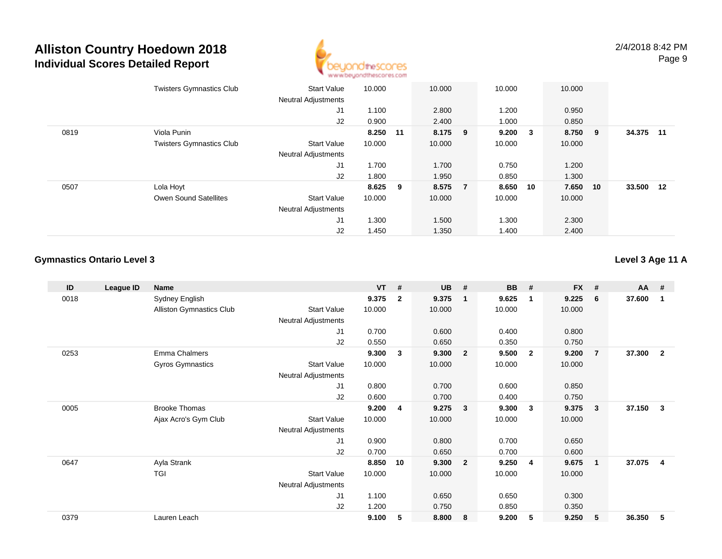

|      | <b>Twisters Gymnastics Club</b> | <b>Start Value</b>         | 10.000   | 10.000  | 10.000       | 10.000   |           |  |
|------|---------------------------------|----------------------------|----------|---------|--------------|----------|-----------|--|
|      |                                 | <b>Neutral Adjustments</b> |          |         |              |          |           |  |
|      |                                 | J1                         | 1.100    | 2.800   | 1.200        | 0.950    |           |  |
|      |                                 | J2                         | 0.900    | 2.400   | 1.000        | 0.850    |           |  |
| 0819 | Viola Punin                     |                            | 8.250 11 | 8.175 9 | $9.200 \t 3$ | 8.750 9  | 34.375 11 |  |
|      | <b>Twisters Gymnastics Club</b> | <b>Start Value</b>         | 10.000   | 10.000  | 10.000       | 10.000   |           |  |
|      |                                 | <b>Neutral Adjustments</b> |          |         |              |          |           |  |
|      |                                 | J <sub>1</sub>             | 1.700    | 1.700   | 0.750        | 1.200    |           |  |
|      |                                 | J2                         | 1.800    | 1.950   | 0.850        | 1.300    |           |  |
| 0507 | Lola Hoyt                       |                            | 8.625 9  | 8.575 7 | 8.650 10     | 7.650 10 | 33.500 12 |  |
|      | Owen Sound Satellites           | <b>Start Value</b>         | 10.000   | 10.000  | 10.000       | 10.000   |           |  |
|      |                                 | <b>Neutral Adjustments</b> |          |         |              |          |           |  |
|      |                                 | J1                         | 1.300    | 1.500   | 1.300        | 2.300    |           |  |
|      |                                 | J2                         | 1.450    | 1.350   | 1.400        | 2.400    |           |  |

#### **Gymnastics Ontario Level 3**

#### **Level 3 Age 11 A**

| ID   | League ID | Name                     |                            | <b>VT</b> | #              | <b>UB</b> | #              | <b>BB</b> | #                       | <b>FX</b> | #              | AA     | #              |
|------|-----------|--------------------------|----------------------------|-----------|----------------|-----------|----------------|-----------|-------------------------|-----------|----------------|--------|----------------|
| 0018 |           | Sydney English           |                            | 9.375     | $\overline{2}$ | 9.375     | $\mathbf{1}$   | 9.625     | $\overline{\mathbf{1}}$ | 9.225     | 6              | 37.600 | 1              |
|      |           | Alliston Gymnastics Club | <b>Start Value</b>         | 10.000    |                | 10.000    |                | 10.000    |                         | 10.000    |                |        |                |
|      |           |                          | Neutral Adjustments        |           |                |           |                |           |                         |           |                |        |                |
|      |           |                          | J1                         | 0.700     |                | 0.600     |                | 0.400     |                         | 0.800     |                |        |                |
|      |           |                          | J2                         | 0.550     |                | 0.650     |                | 0.350     |                         | 0.750     |                |        |                |
| 0253 |           | Emma Chalmers            |                            | 9.300     | 3              | 9.300     | $\overline{2}$ | 9.500     | $\overline{2}$          | 9.200     | $\overline{7}$ | 37.300 | $\overline{2}$ |
|      |           | Gyros Gymnastics         | <b>Start Value</b>         | 10.000    |                | 10.000    |                | 10.000    |                         | 10.000    |                |        |                |
|      |           |                          | Neutral Adjustments        |           |                |           |                |           |                         |           |                |        |                |
|      |           |                          | J1                         | 0.800     |                | 0.700     |                | 0.600     |                         | 0.850     |                |        |                |
|      |           |                          | J2                         | 0.600     |                | 0.700     |                | 0.400     |                         | 0.750     |                |        |                |
| 0005 |           | <b>Brooke Thomas</b>     |                            | 9.200     | 4              | 9.275     | $\mathbf{3}$   | 9.300     | 3                       | 9.375     | 3              | 37.150 | 3              |
|      |           | Ajax Acro's Gym Club     | <b>Start Value</b>         | 10.000    |                | 10.000    |                | 10.000    |                         | 10.000    |                |        |                |
|      |           |                          | Neutral Adjustments        |           |                |           |                |           |                         |           |                |        |                |
|      |           |                          | J1                         | 0.900     |                | 0.800     |                | 0.700     |                         | 0.650     |                |        |                |
|      |           |                          | J <sub>2</sub>             | 0.700     |                | 0.650     |                | 0.700     |                         | 0.600     |                |        |                |
| 0647 |           | Ayla Strank              |                            | 8.850     | 10             | 9.300     | $\overline{2}$ | 9.250     | 4                       | 9.675     | $\mathbf{1}$   | 37.075 | $\overline{4}$ |
|      |           | <b>TGI</b>               | <b>Start Value</b>         | 10.000    |                | 10.000    |                | 10.000    |                         | 10.000    |                |        |                |
|      |           |                          | <b>Neutral Adjustments</b> |           |                |           |                |           |                         |           |                |        |                |
|      |           |                          | J1                         | 1.100     |                | 0.650     |                | 0.650     |                         | 0.300     |                |        |                |
|      |           |                          | J <sub>2</sub>             | 1.200     |                | 0.750     |                | 0.850     |                         | 0.350     |                |        |                |
| 0379 |           | Lauren Leach             |                            | 9.100     | 5              | 8.800     | 8              | 9.200     | 5                       | 9.250     | 5              | 36.350 | 5              |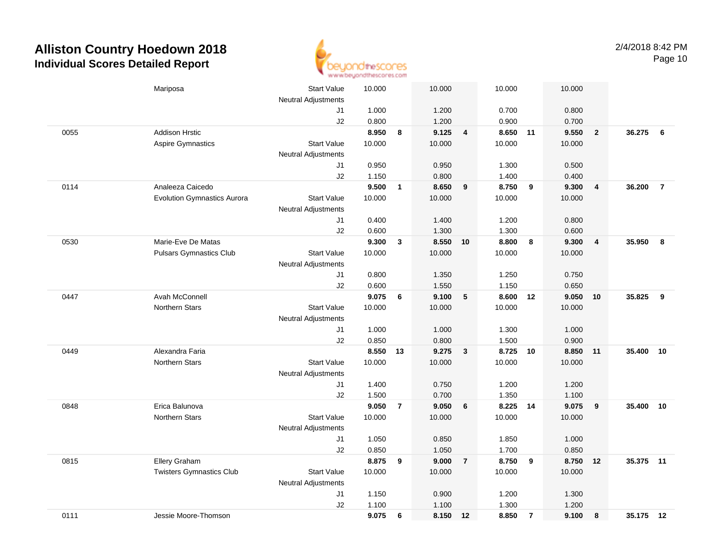

|      | Mariposa                           | <b>Start Value</b>         | 10.000         |                | 10.000         |                | 10.000         |                | 10.000         |                         |           |                |
|------|------------------------------------|----------------------------|----------------|----------------|----------------|----------------|----------------|----------------|----------------|-------------------------|-----------|----------------|
|      |                                    | <b>Neutral Adjustments</b> |                |                |                |                |                |                |                |                         |           |                |
|      |                                    | J1                         | 1.000          |                | 1.200          |                | 0.700          |                | 0.800          |                         |           |                |
|      |                                    | J2                         | 0.800          |                | 1.200          |                | 0.900          |                | 0.700          |                         |           |                |
| 0055 | <b>Addison Hrstic</b>              |                            | 8.950          | 8              | 9.125          | $\overline{4}$ | 8.650 11       |                | 9.550          | $\overline{\mathbf{2}}$ | 36.275    | 6              |
|      | <b>Aspire Gymnastics</b>           | <b>Start Value</b>         | 10.000         |                | 10.000         |                | 10.000         |                | 10.000         |                         |           |                |
|      |                                    | <b>Neutral Adjustments</b> |                |                |                |                |                |                |                |                         |           |                |
|      |                                    | J1                         | 0.950          |                | 0.950          |                | 1.300          |                | 0.500          |                         |           |                |
|      |                                    | J2                         | 1.150          |                | 0.800          |                | 1.400          |                | 0.400          |                         |           |                |
| 0114 | Analeeza Caicedo                   |                            | 9.500          | $\mathbf{1}$   | 8.650          | 9              | 8.750          | 9              | 9.300          | $\overline{\mathbf{4}}$ | 36.200    | $\overline{7}$ |
|      | <b>Evolution Gymnastics Aurora</b> | <b>Start Value</b>         | 10.000         |                | 10.000         |                | 10.000         |                | 10.000         |                         |           |                |
|      |                                    | <b>Neutral Adjustments</b> |                |                |                |                |                |                |                |                         |           |                |
|      |                                    | J1                         | 0.400          |                | 1.400          |                | 1.200          |                | 0.800          |                         |           |                |
|      |                                    | J2                         | 0.600<br>9.300 |                | 1.300<br>8.550 |                | 1.300          |                | 0.600          |                         | 35.950    |                |
| 0530 | Marie-Eve De Matas                 |                            |                | 3              |                | 10             | 8.800          | 8              | 9.300          | $\overline{\mathbf{4}}$ |           | 8              |
|      | <b>Pulsars Gymnastics Club</b>     | <b>Start Value</b>         | 10.000         |                | 10.000         |                | 10.000         |                | 10.000         |                         |           |                |
|      |                                    | <b>Neutral Adjustments</b> |                |                |                |                |                |                |                |                         |           |                |
|      |                                    | J1<br>J2                   | 0.800<br>0.600 |                | 1.350<br>1.550 |                | 1.250<br>1.150 |                | 0.750<br>0.650 |                         |           |                |
| 0447 | Avah McConnell                     |                            | 9.075          | 6              | 9.100          | $\sqrt{5}$     | 8.600          | 12             | $9.050$ 10     |                         | 35.825    | 9              |
|      | <b>Northern Stars</b>              | <b>Start Value</b>         | 10.000         |                | 10.000         |                | 10.000         |                | 10.000         |                         |           |                |
|      |                                    | <b>Neutral Adjustments</b> |                |                |                |                |                |                |                |                         |           |                |
|      |                                    | J1                         | 1.000          |                | 1.000          |                | 1.300          |                | 1.000          |                         |           |                |
|      |                                    | J2                         | 0.850          |                | 0.800          |                | 1.500          |                | 0.900          |                         |           |                |
| 0449 | Alexandra Faria                    |                            | 8.550          | 13             | 9.275          | $\mathbf{3}$   | 8.725          | 10             | 8.850          | $-11$                   | 35.400    | 10             |
|      | <b>Northern Stars</b>              | <b>Start Value</b>         | 10.000         |                | 10.000         |                | 10.000         |                | 10.000         |                         |           |                |
|      |                                    | <b>Neutral Adjustments</b> |                |                |                |                |                |                |                |                         |           |                |
|      |                                    | J1                         | 1.400          |                | 0.750          |                | 1.200          |                | 1.200          |                         |           |                |
|      |                                    | J2                         | 1.500          |                | 0.700          |                | 1.350          |                | 1.100          |                         |           |                |
| 0848 | Erica Balunova                     |                            | 9.050          | $\overline{7}$ | 9.050          | $6\phantom{1}$ | 8.225 14       |                | 9.075          | 9                       | 35.400 10 |                |
|      | <b>Northern Stars</b>              | <b>Start Value</b>         | 10.000         |                | 10.000         |                | 10.000         |                | 10.000         |                         |           |                |
|      |                                    | <b>Neutral Adjustments</b> |                |                |                |                |                |                |                |                         |           |                |
|      |                                    | J1                         | 1.050          |                | 0.850          |                | 1.850          |                | 1.000          |                         |           |                |
|      |                                    | J2                         | 0.850          |                | 1.050          |                | 1.700          |                | 0.850          |                         |           |                |
| 0815 | Ellery Graham                      |                            | 8.875          | 9              | 9.000          | $\overline{7}$ | 8.750          | 9              | 8.750 12       |                         | 35.375    | 11             |
|      | <b>Twisters Gymnastics Club</b>    | <b>Start Value</b>         | 10.000         |                | 10.000         |                | 10.000         |                | 10.000         |                         |           |                |
|      |                                    | Neutral Adjustments        |                |                |                |                |                |                |                |                         |           |                |
|      |                                    | J1                         | 1.150          |                | 0.900          |                | 1.200          |                | 1.300          |                         |           |                |
|      |                                    | J2                         | 1.100          |                | 1.100          |                | 1.300          |                | 1.200          |                         |           |                |
| 0111 | Jessie Moore-Thomson               |                            | 9.075          | 6              | 8.150          | 12             | 8.850          | $\overline{7}$ | 9.100          | 8                       | 35.175 12 |                |
|      |                                    |                            |                |                |                |                |                |                |                |                         |           |                |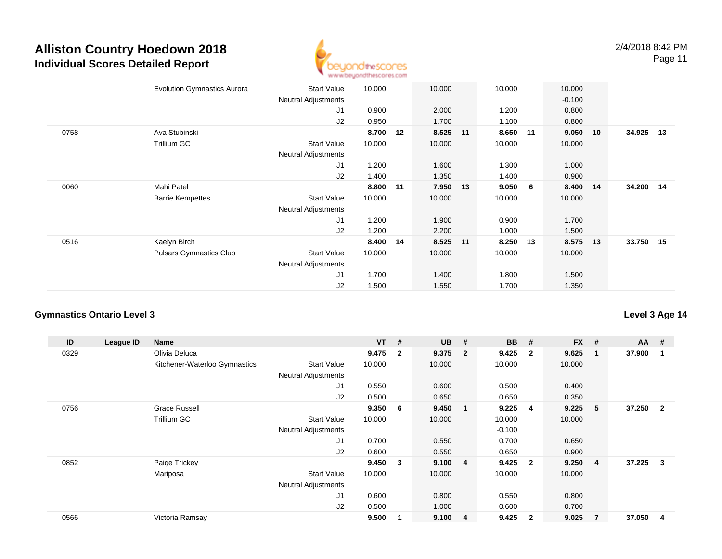

|      | <b>Evolution Gymnastics Aurora</b> | <b>Start Value</b>         | 10.000 |    | 10.000   |    | 10.000 |    | 10.000   |     |           |    |
|------|------------------------------------|----------------------------|--------|----|----------|----|--------|----|----------|-----|-----------|----|
|      |                                    | <b>Neutral Adjustments</b> |        |    |          |    |        |    | $-0.100$ |     |           |    |
|      |                                    | J1                         | 0.900  |    | 2.000    |    | 1.200  |    | 0.800    |     |           |    |
|      |                                    | J2                         | 0.950  |    | 1.700    |    | 1.100  |    | 0.800    |     |           |    |
| 0758 | Ava Stubinski                      |                            | 8.700  | 12 | 8.525    | 11 | 8.650  | 11 | 9.050    | 10  | 34.925    | 13 |
|      | Trillium GC                        | <b>Start Value</b>         | 10.000 |    | 10.000   |    | 10.000 |    | 10.000   |     |           |    |
|      |                                    | <b>Neutral Adjustments</b> |        |    |          |    |        |    |          |     |           |    |
|      |                                    | J <sub>1</sub>             | 1.200  |    | 1.600    |    | 1.300  |    | 1.000    |     |           |    |
|      |                                    | J2                         | 1.400  |    | 1.350    |    | 1.400  |    | 0.900    |     |           |    |
| 0060 | Mahi Patel                         |                            | 8.800  | 11 | 7.950    | 13 | 9.050  | 6  | 8.400    | -14 | 34.200 14 |    |
|      | <b>Barrie Kempettes</b>            | <b>Start Value</b>         | 10.000 |    | 10.000   |    | 10.000 |    | 10.000   |     |           |    |
|      |                                    | Neutral Adjustments        |        |    |          |    |        |    |          |     |           |    |
|      |                                    | J1                         | 1.200  |    | 1.900    |    | 0.900  |    | 1.700    |     |           |    |
|      |                                    | J2                         | 1.200  |    | 2.200    |    | 1.000  |    | 1.500    |     |           |    |
| 0516 | Kaelyn Birch                       |                            | 8.400  | 14 | 8.525 11 |    | 8.250  | 13 | 8.575    | 13  | 33.750 15 |    |
|      | <b>Pulsars Gymnastics Club</b>     | <b>Start Value</b>         | 10.000 |    | 10.000   |    | 10.000 |    | 10.000   |     |           |    |
|      |                                    | <b>Neutral Adjustments</b> |        |    |          |    |        |    |          |     |           |    |
|      |                                    | J <sub>1</sub>             | 1.700  |    | 1.400    |    | 1.800  |    | 1.500    |     |           |    |
|      |                                    | J2                         | 1.500  |    | 1.550    |    | 1.700  |    | 1.350    |     |           |    |
|      |                                    |                            |        |    |          |    |        |    |          |     |           |    |

#### **Gymnastics Ontario Level 3**

**ID League ID Name VT # UB # BB # FX # AA #** 0329 Olivia Deluca **9.475 <sup>2</sup> 9.375 <sup>2</sup> 9.425 <sup>2</sup> 9.625 <sup>1</sup> 37.900 <sup>1</sup>** Kitchener-Waterloo Gymnastics Start Valuee 10.000 10.000 10.000 10.000 Neutral Adjustments J1 0.550 0.600 0.500 0.400 J2 0.500 0.650 0.650 0.350 0756 Grace Russell **9.350 <sup>6</sup> 9.450 <sup>1</sup> 9.225 <sup>4</sup> 9.225 <sup>5</sup> 37.250 <sup>2</sup>** Trillium GCC 313 Start Value 10.000 10.000 10.000 10.000 10.000 Neutral Adjustments $\sim$  -0.100 0.700 J1 0.700 0.550 0.700 0.650 J2 0.600 0.550 0.650 0.900 0852 Paige Trickey **9.450 <sup>3</sup> 9.100 <sup>4</sup> 9.425 <sup>2</sup> 9.250 <sup>4</sup> 37.225 <sup>3</sup>** Mariposa Start Value 10.000 10.000 10.000 10.000 Neutral Adjustments J1 0.600 0.800 0.550 0.800 J2 0.500 1.000 0.600 0.700 0566Victoria Ramsay **9.500 <sup>1</sup> 9.100 <sup>4</sup> 9.425 <sup>2</sup> 9.025 <sup>7</sup> 37.050 <sup>4</sup>**

**Level 3 Age 14**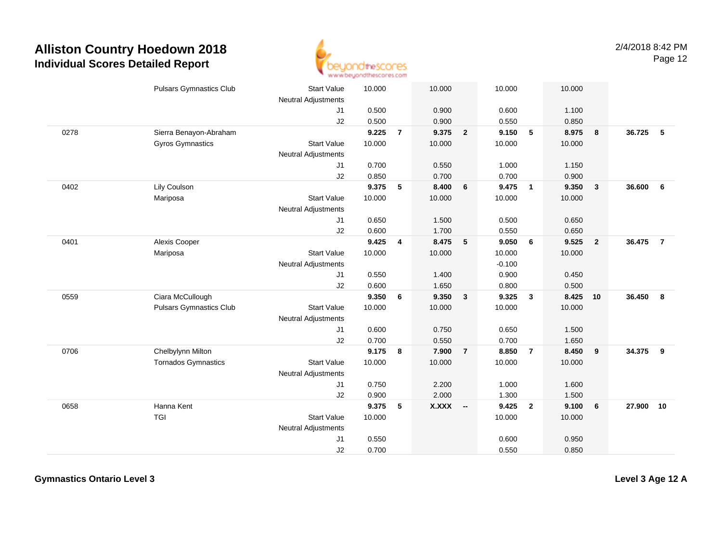

|      | <b>Pulsars Gymnastics Club</b> | <b>Start Value</b><br><b>Neutral Adjustments</b> | 10.000 |                | 10.000    |                | 10.000   |                | 10.000 |                         |        |                         |
|------|--------------------------------|--------------------------------------------------|--------|----------------|-----------|----------------|----------|----------------|--------|-------------------------|--------|-------------------------|
|      |                                | J <sub>1</sub>                                   | 0.500  |                | 0.900     |                | 0.600    |                | 1.100  |                         |        |                         |
|      |                                | J2                                               | 0.500  |                | 0.900     |                | 0.550    |                | 0.850  |                         |        |                         |
| 0278 | Sierra Benayon-Abraham         |                                                  | 9.225  | $\overline{7}$ | 9.375     | $\overline{2}$ | 9.150    | 5              | 8.975  | $\overline{\mathbf{8}}$ | 36.725 | 5                       |
|      | <b>Gyros Gymnastics</b>        | <b>Start Value</b>                               | 10.000 |                | 10.000    |                | 10.000   |                | 10.000 |                         |        |                         |
|      |                                | <b>Neutral Adjustments</b>                       |        |                |           |                |          |                |        |                         |        |                         |
|      |                                | J1                                               | 0.700  |                | 0.550     |                | 1.000    |                | 1.150  |                         |        |                         |
|      |                                | J2                                               | 0.850  |                | 0.700     |                | 0.700    |                | 0.900  |                         |        |                         |
|      |                                |                                                  | 9.375  |                |           |                | 9.475    | $\overline{1}$ |        |                         | 36.600 | 6                       |
| 0402 | Lily Coulson                   |                                                  |        | 5              | 8.400     | 6              |          |                | 9.350  | $\overline{\mathbf{3}}$ |        |                         |
|      | Mariposa                       | <b>Start Value</b>                               | 10.000 |                | 10.000    |                | 10.000   |                | 10.000 |                         |        |                         |
|      |                                | <b>Neutral Adjustments</b>                       |        |                |           |                |          |                |        |                         |        |                         |
|      |                                | J1                                               | 0.650  |                | 1.500     |                | 0.500    |                | 0.650  |                         |        |                         |
|      |                                | J2                                               | 0.600  |                | 1.700     |                | 0.550    |                | 0.650  |                         |        |                         |
| 0401 | Alexis Cooper                  |                                                  | 9.425  | 4              | 8.475     | 5              | 9.050    | 6              | 9.525  | $\overline{\mathbf{2}}$ | 36.475 | $\overline{7}$          |
|      | Mariposa                       | <b>Start Value</b>                               | 10.000 |                | 10.000    |                | 10.000   |                | 10.000 |                         |        |                         |
|      |                                | <b>Neutral Adjustments</b>                       |        |                |           |                | $-0.100$ |                |        |                         |        |                         |
|      |                                | J <sub>1</sub>                                   | 0.550  |                | 1.400     |                | 0.900    |                | 0.450  |                         |        |                         |
|      |                                | J2                                               | 0.600  |                | 1.650     |                | 0.800    |                | 0.500  |                         |        |                         |
| 0559 | Ciara McCullough               |                                                  | 9.350  | 6              | 9.350     | $\mathbf{3}$   | 9.325    | $\mathbf{3}$   | 8.425  | 10                      | 36.450 | $\overline{\mathbf{8}}$ |
|      | <b>Pulsars Gymnastics Club</b> | <b>Start Value</b>                               | 10.000 |                | 10.000    |                | 10.000   |                | 10.000 |                         |        |                         |
|      |                                | <b>Neutral Adjustments</b>                       |        |                |           |                |          |                |        |                         |        |                         |
|      |                                | J <sub>1</sub>                                   | 0.600  |                | 0.750     |                | 0.650    |                | 1.500  |                         |        |                         |
|      |                                | J2                                               | 0.700  |                | 0.550     |                | 0.700    |                | 1.650  |                         |        |                         |
| 0706 | Chelbylynn Milton              |                                                  | 9.175  | 8              | 7.900     | $\overline{7}$ | 8.850    | $\overline{7}$ | 8.450  | $\overline{\mathbf{9}}$ | 34.375 | 9                       |
|      | <b>Tornados Gymnastics</b>     | <b>Start Value</b>                               | 10.000 |                | 10.000    |                | 10.000   |                | 10.000 |                         |        |                         |
|      |                                | <b>Neutral Adjustments</b>                       |        |                |           |                |          |                |        |                         |        |                         |
|      |                                | J <sub>1</sub>                                   | 0.750  |                | 2.200     |                | 1.000    |                | 1.600  |                         |        |                         |
|      |                                | J2                                               | 0.900  |                | 2.000     |                | 1.300    |                | 1.500  |                         |        |                         |
| 0658 | Hanna Kent                     |                                                  | 9.375  | 5              | $X.XXX$ - |                | 9.425    | $\overline{2}$ | 9.100  | $6\phantom{1}6$         | 27.900 | 10                      |
|      | <b>TGI</b>                     | <b>Start Value</b>                               | 10.000 |                |           |                | 10.000   |                | 10.000 |                         |        |                         |
|      |                                | <b>Neutral Adjustments</b>                       |        |                |           |                |          |                |        |                         |        |                         |
|      |                                | J1                                               | 0.550  |                |           |                | 0.600    |                | 0.950  |                         |        |                         |
|      |                                | J2                                               | 0.700  |                |           |                | 0.550    |                | 0.850  |                         |        |                         |
|      |                                |                                                  |        |                |           |                |          |                |        |                         |        |                         |

**Gymnastics Ontario Level 3**

**Level 3 Age 12 A**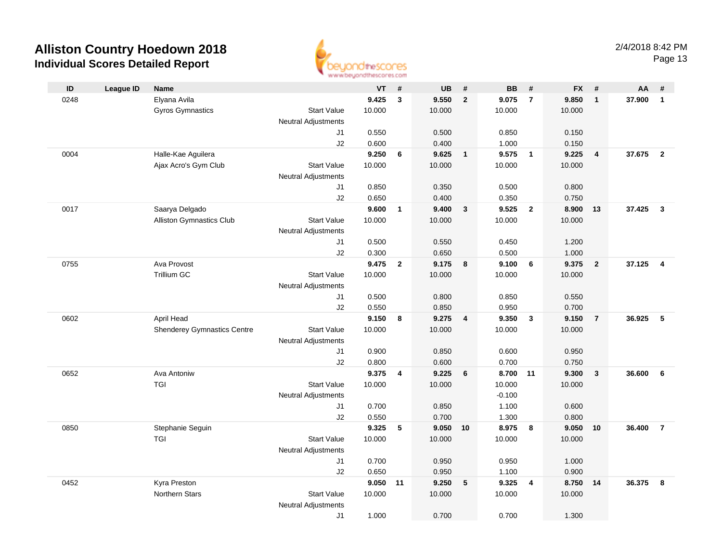

| as as accepted to a search a presum |                  |                                    |                                                  |        |              |            |              |           |                |           |                         |        |                         |
|-------------------------------------|------------------|------------------------------------|--------------------------------------------------|--------|--------------|------------|--------------|-----------|----------------|-----------|-------------------------|--------|-------------------------|
| ID                                  | <b>League ID</b> | Name                               |                                                  | VT     | #            | UB         | #            | <b>BB</b> | #              | <b>FX</b> | #                       | AA     | #                       |
| 0248                                |                  | Elyana Avila                       |                                                  | 9.425  | $\mathbf{3}$ | 9.550      | $\mathbf{2}$ | 9.075     | $\overline{7}$ | 9.850     | $\mathbf{1}$            | 37.900 | $\overline{\mathbf{1}}$ |
|                                     |                  | <b>Gyros Gymnastics</b>            | <b>Start Value</b>                               | 10.000 |              | 10.000     |              | 10.000    |                | 10.000    |                         |        |                         |
|                                     |                  |                                    | Neutral Adjustments                              |        |              |            |              |           |                |           |                         |        |                         |
|                                     |                  |                                    | J1                                               | 0.550  |              | 0.500      |              | 0.850     |                | 0.150     |                         |        |                         |
|                                     |                  |                                    | J2                                               | 0.600  |              | 0.400      |              | 1.000     |                | 0.150     |                         |        |                         |
| 0004                                |                  | Halle-Kae Aguilera                 |                                                  | 9.250  | 6            | 9.625      | $\mathbf{1}$ | 9.575     | $\overline{1}$ | 9.225     | 4                       | 37.675 | $\overline{\mathbf{2}}$ |
|                                     |                  | Ajax Acro's Gym Club               | <b>Start Value</b>                               | 10.000 |              | 10.000     |              | 10.000    |                | 10.000    |                         |        |                         |
|                                     |                  |                                    | <b>Neutral Adjustments</b>                       |        |              |            |              |           |                |           |                         |        |                         |
|                                     |                  |                                    | J1                                               | 0.850  |              | 0.350      |              | 0.500     |                | 0.800     |                         |        |                         |
|                                     |                  |                                    | J2                                               | 0.650  |              | 0.400      |              | 0.350     |                | 0.750     |                         |        |                         |
| 0017                                |                  | Saarya Delgado                     |                                                  | 9.600  | $\mathbf{1}$ | 9.400      | 3            | 9.525     | $\overline{2}$ | 8.900     | - 13                    | 37.425 | $\overline{\mathbf{3}}$ |
|                                     |                  | Alliston Gymnastics Club           | <b>Start Value</b>                               | 10.000 |              | 10.000     |              | 10.000    |                | 10.000    |                         |        |                         |
|                                     |                  |                                    | <b>Neutral Adjustments</b><br>J1                 | 0.500  |              | 0.550      |              | 0.450     |                | 1.200     |                         |        |                         |
|                                     |                  |                                    | J2                                               | 0.300  |              | 0.650      |              | 0.500     |                | 1.000     |                         |        |                         |
| 0755                                |                  | Ava Provost                        |                                                  | 9.475  | $\mathbf{2}$ | 9.175      | 8            | 9.100     | 6              | 9.375     | $\overline{\mathbf{2}}$ | 37.125 | $\overline{4}$          |
|                                     |                  | <b>Trillium GC</b>                 | <b>Start Value</b>                               | 10.000 |              | 10.000     |              | 10.000    |                | 10.000    |                         |        |                         |
|                                     |                  |                                    | Neutral Adjustments                              |        |              |            |              |           |                |           |                         |        |                         |
|                                     |                  |                                    | J1                                               | 0.500  |              | 0.800      |              | 0.850     |                | 0.550     |                         |        |                         |
|                                     |                  |                                    | J2                                               | 0.550  |              | 0.850      |              | 0.950     |                | 0.700     |                         |        |                         |
| 0602                                |                  | April Head                         |                                                  | 9.150  | 8            | 9.275      | 4            | 9.350     | $\mathbf{3}$   | 9.150     | $\overline{7}$          | 36.925 | 5                       |
|                                     |                  | <b>Shenderey Gymnastics Centre</b> | <b>Start Value</b>                               | 10.000 |              | 10.000     |              | 10.000    |                | 10.000    |                         |        |                         |
|                                     |                  |                                    | <b>Neutral Adjustments</b>                       |        |              |            |              |           |                |           |                         |        |                         |
|                                     |                  |                                    | J1                                               | 0.900  |              | 0.850      |              | 0.600     |                | 0.950     |                         |        |                         |
|                                     |                  |                                    | J2                                               | 0.800  |              | 0.600      |              | 0.700     |                | 0.750     |                         |        |                         |
| 0652                                |                  | Ava Antoniw                        |                                                  | 9.375  | 4            | 9.225      | 6            | 8.700     | 11             | 9.300     | $\mathbf{3}$            | 36.600 | - 6                     |
|                                     |                  | TGI                                | <b>Start Value</b>                               | 10.000 |              | 10.000     |              | 10.000    |                | 10.000    |                         |        |                         |
|                                     |                  |                                    | <b>Neutral Adjustments</b>                       |        |              |            |              | $-0.100$  |                |           |                         |        |                         |
|                                     |                  |                                    | J1                                               | 0.700  |              | 0.850      |              | 1.100     |                | 0.600     |                         |        |                         |
|                                     |                  |                                    | J2                                               | 0.550  |              | 0.700      |              | 1.300     |                | 0.800     |                         |        |                         |
| 0850                                |                  | Stephanie Seguin                   |                                                  | 9.325  | 5            | $9.050$ 10 |              | 8.975     | 8              | 9.050     | 10                      | 36.400 | $\overline{7}$          |
|                                     |                  | <b>TGI</b>                         | <b>Start Value</b><br><b>Neutral Adjustments</b> | 10.000 |              | 10.000     |              | 10.000    |                | 10.000    |                         |        |                         |
|                                     |                  |                                    | J1                                               | 0.700  |              | 0.950      |              | 0.950     |                | 1.000     |                         |        |                         |
|                                     |                  |                                    | J2                                               | 0.650  |              | 0.950      |              | 1.100     |                | 0.900     |                         |        |                         |
| 0452                                |                  | Kyra Preston                       |                                                  | 9.050  | 11           | 9.250      | $\sqrt{5}$   | 9.325     | 4              | 8.750     | 14                      | 36.375 | 8                       |
|                                     |                  | Northern Stars                     | <b>Start Value</b>                               | 10.000 |              | 10.000     |              | 10.000    |                | 10.000    |                         |        |                         |
|                                     |                  |                                    | <b>Neutral Adjustments</b>                       |        |              |            |              |           |                |           |                         |        |                         |
|                                     |                  |                                    | J1                                               | 1.000  |              | 0.700      |              | 0.700     |                | 1.300     |                         |        |                         |
|                                     |                  |                                    |                                                  |        |              |            |              |           |                |           |                         |        |                         |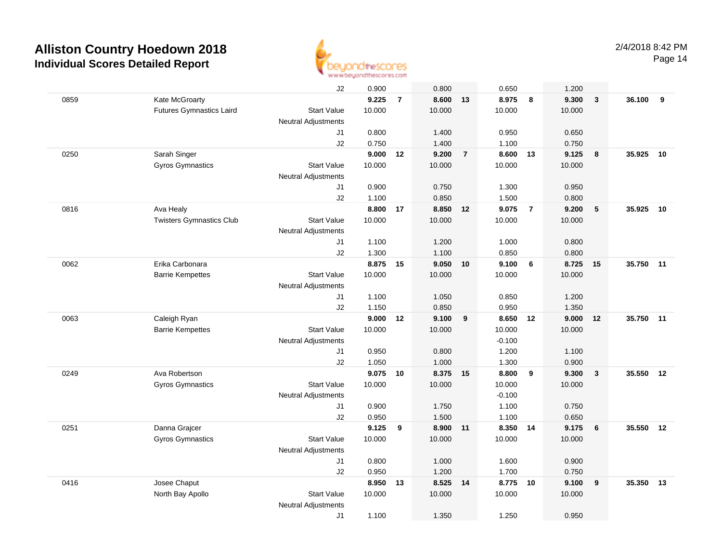

J2 0.900 0.800 0.650 1.200 0859 Kate McGroarty **9.225 <sup>7</sup> 8.600 <sup>13</sup> 8.975 <sup>8</sup> 9.300 <sup>3</sup> 36.100 <sup>9</sup>** Futures Gymnastics Laird Start Value 10.000 10.000 10.000 10.000 Neutral Adjustments J1 0.800 1.400 0.950 0.650 J2 0.750 1.400 1.100 0.750 0250 Sarah Singer **9.000 <sup>12</sup> 9.200 <sup>7</sup> 8.600 <sup>13</sup> 9.125 <sup>8</sup> 35.925 <sup>10</sup>** Gyros Gymnastics Start Valuee 10.000 10.000 10.000 10.000 Neutral Adjustments J1 0.900 0.750 1.300 0.950 J2 1.100 0.850 1.500 0.800 0816 Ava Healy **8.800 <sup>17</sup> 8.850 <sup>12</sup> 9.075 <sup>7</sup> 9.200 <sup>5</sup> 35.925 <sup>10</sup>** Twisters Gymnastics Clubb 3tart Value 10.000 10.000 10.000 10.000 10.000 Neutral Adjustments J1 1.100 1.200 1.000 0.800 J2 1.300 1.100 0.850 0.800 0062 Erika Carbonara **8.875 <sup>15</sup> 9.050 <sup>10</sup> 9.100 <sup>6</sup> 8.725 <sup>15</sup> 35.750 <sup>11</sup>** Barrie Kempettes Start Valuee 10.000 10.000 10.000 10.000 Neutral Adjustments J1 1.100 1.050 0.850 1.200 J2 1.150 0.850 0.950 1.350 0063 Caleigh Ryan **9.000 <sup>12</sup> 9.100 <sup>9</sup> 8.650 <sup>12</sup> 9.000 <sup>12</sup> 35.750 <sup>11</sup>** Barrie Kempettes Start Valuee 10.000 10.000 10.000 10.000 Neutral Adjustments $\sim$  -0.100 1.200 J1 0.950 0.800 1.200 1.100 J2 1.050 1.000 1.300 0.900 0249 Ava Robertson **9.075 <sup>10</sup> 8.375 <sup>15</sup> 8.800 <sup>9</sup> 9.300 <sup>3</sup> 35.550 <sup>12</sup>** Gyros Gymnastics Start Valuee 10.000 10.000 10.000 10.000 Neutral Adjustments $\sim$  -0.100 1.100 J1 0.900 1.750 1.100 0.750 J2 0.950 1.500 1.100 0.650 0251 Danna Grajcer **9.125 <sup>9</sup> 8.900 <sup>11</sup> 8.350 <sup>14</sup> 9.175 <sup>6</sup> 35.550 <sup>12</sup>** Gyros Gymnastics Start Valuee 10.000 10.000 10.000 10.000 Neutral Adjustments J1 0.800 1.000 1.600 0.900 J2 0.950 1.200 1.700 0.750 0416 Josee Chaput **8.950 <sup>13</sup> 8.525 <sup>14</sup> 8.775 <sup>10</sup> 9.100 <sup>9</sup> 35.350 <sup>13</sup>** North Bay Apollo Start Value 10.000 10.000 10.000 10.000 Neutral Adjustments J11.100 1.350 1.250 0.950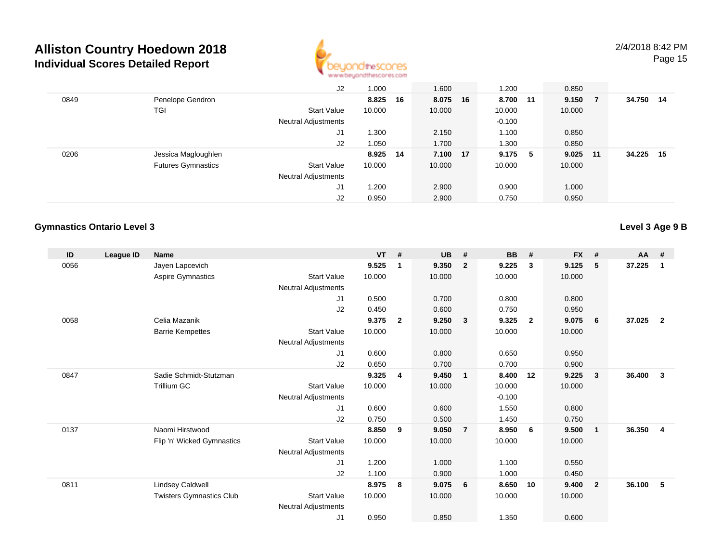TGI

Futures Gymnastics



Jessica Magloughlen **8.925 <sup>14</sup> 7.100 <sup>17</sup> 9.175 <sup>5</sup> 9.025 <sup>11</sup> 34.225 <sup>15</sup>**

Start Value

J1

J2

Neutral Adjustments

J2 1.000 1.600 1.200 0.850 Penelope Gendron **8.825 <sup>16</sup> 8.075 <sup>16</sup> 8.700 <sup>11</sup> 9.150 <sup>7</sup> 34.750 <sup>14</sup>** Start Valuee 10.000 10.000 10.000 10.000 Neutral Adjustments $\sim$  -0.100 1.100 J1 1.300 2.150 1.100 0.850 J21.050 1.700 1.300 0.850

e 10.000 10.000 10.000 10.000

1.200 2.900 0.900 1.000

0.950 2.900 0.750 0.950

0849

0206

**Level 3 Age 9 B**

| ID   | League ID | <b>Name</b>                     |                            | <b>VT</b> | #              | <b>UB</b> | #              | <b>BB</b> | #              | <b>FX</b> | #              | $AA$ # |                |
|------|-----------|---------------------------------|----------------------------|-----------|----------------|-----------|----------------|-----------|----------------|-----------|----------------|--------|----------------|
| 0056 |           | Jayen Lapcevich                 |                            | 9.525     | $\mathbf 1$    | 9.350     | $\overline{2}$ | 9.225     | 3              | 9.125     | 5              | 37.225 | $\mathbf{1}$   |
|      |           | Aspire Gymnastics               | <b>Start Value</b>         | 10.000    |                | 10.000    |                | 10.000    |                | 10.000    |                |        |                |
|      |           |                                 | <b>Neutral Adjustments</b> |           |                |           |                |           |                |           |                |        |                |
|      |           |                                 | J1                         | 0.500     |                | 0.700     |                | 0.800     |                | 0.800     |                |        |                |
|      |           |                                 | J2                         | 0.450     |                | 0.600     |                | 0.750     |                | 0.950     |                |        |                |
| 0058 |           | Celia Mazanik                   |                            | 9.375     | $\overline{2}$ | 9.250     | 3 <sup>2</sup> | 9.325     | $\overline{2}$ | 9.075     | 6              | 37.025 | $\overline{2}$ |
|      |           | <b>Barrie Kempettes</b>         | <b>Start Value</b>         | 10.000    |                | 10.000    |                | 10.000    |                | 10.000    |                |        |                |
|      |           |                                 | Neutral Adjustments        |           |                |           |                |           |                |           |                |        |                |
|      |           |                                 | J <sub>1</sub>             | 0.600     |                | 0.800     |                | 0.650     |                | 0.950     |                |        |                |
|      |           |                                 | J2                         | 0.650     |                | 0.700     |                | 0.700     |                | 0.900     |                |        |                |
| 0847 |           | Sadie Schmidt-Stutzman          |                            | 9.325     | 4              | 9.450     | $\overline{1}$ | 8.400     | 12             | 9.225     | 3              | 36.400 | $\mathbf{3}$   |
|      |           | Trillium GC                     | <b>Start Value</b>         | 10.000    |                | 10.000    |                | 10.000    |                | 10.000    |                |        |                |
|      |           |                                 | Neutral Adjustments        |           |                |           |                | $-0.100$  |                |           |                |        |                |
|      |           |                                 | J1                         | 0.600     |                | 0.600     |                | 1.550     |                | 0.800     |                |        |                |
|      |           |                                 | J2                         | 0.750     |                | 0.500     |                | 1.450     |                | 0.750     |                |        |                |
| 0137 |           | Naomi Hirstwood                 |                            | 8.850     | 9              | 9.050     | $\overline{7}$ | 8.950     | - 6            | 9.500     | $\mathbf{1}$   | 36.350 | $\overline{4}$ |
|      |           | Flip 'n' Wicked Gymnastics      | <b>Start Value</b>         | 10.000    |                | 10.000    |                | 10.000    |                | 10.000    |                |        |                |
|      |           |                                 | Neutral Adjustments        |           |                |           |                |           |                |           |                |        |                |
|      |           |                                 | J1                         | 1.200     |                | 1.000     |                | 1.100     |                | 0.550     |                |        |                |
|      |           |                                 | J2                         | 1.100     |                | 0.900     |                | 1.000     |                | 0.450     |                |        |                |
| 0811 |           | <b>Lindsey Caldwell</b>         |                            | 8.975     | 8              | 9.075     | 6              | 8.650     | 10             | 9.400     | $\overline{2}$ | 36.100 | 5              |
|      |           | <b>Twisters Gymnastics Club</b> | <b>Start Value</b>         | 10.000    |                | 10.000    |                | 10.000    |                | 10.000    |                |        |                |
|      |           |                                 | <b>Neutral Adjustments</b> |           |                |           |                |           |                |           |                |        |                |
|      |           |                                 | J1                         | 0.950     |                | 0.850     |                | 1.350     |                | 0.600     |                |        |                |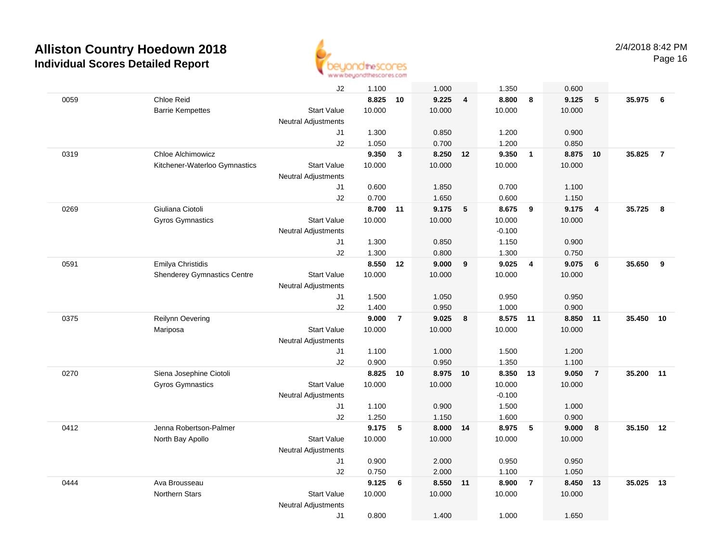

|      |                                    | J2                         | 1.100  |                         | 1.000    |                | 1.350    |                         | 0.600  |                         |           |                |
|------|------------------------------------|----------------------------|--------|-------------------------|----------|----------------|----------|-------------------------|--------|-------------------------|-----------|----------------|
| 0059 | Chloe Reid                         |                            | 8.825  | 10                      | 9.225    | $\overline{4}$ | 8.800    | 8                       | 9.125  | 5                       | 35.975    | 6              |
|      | <b>Barrie Kempettes</b>            | <b>Start Value</b>         | 10.000 |                         | 10.000   |                | 10.000   |                         | 10.000 |                         |           |                |
|      |                                    | <b>Neutral Adjustments</b> |        |                         |          |                |          |                         |        |                         |           |                |
|      |                                    | J1                         | 1.300  |                         | 0.850    |                | 1.200    |                         | 0.900  |                         |           |                |
|      |                                    | J2                         | 1.050  |                         | 0.700    |                | 1.200    |                         | 0.850  |                         |           |                |
| 0319 | Chloe Alchimowicz                  |                            | 9.350  | $\mathbf{3}$            | 8.250    | 12             | 9.350    | $\overline{1}$          | 8.875  | 10                      | 35.825    | $\overline{7}$ |
|      | Kitchener-Waterloo Gymnastics      | <b>Start Value</b>         | 10.000 |                         | 10.000   |                | 10.000   |                         | 10.000 |                         |           |                |
|      |                                    | <b>Neutral Adjustments</b> |        |                         |          |                |          |                         |        |                         |           |                |
|      |                                    | J1                         | 0.600  |                         | 1.850    |                | 0.700    |                         | 1.100  |                         |           |                |
|      |                                    | J2                         | 0.700  |                         | 1.650    |                | 0.600    |                         | 1.150  |                         |           |                |
| 0269 | Giuliana Ciotoli                   |                            | 8.700  | 11                      | 9.175    | $\sqrt{5}$     | 8.675    | $\overline{\mathbf{9}}$ | 9.175  | $\overline{\mathbf{4}}$ | 35.725    | 8              |
|      | <b>Gyros Gymnastics</b>            | <b>Start Value</b>         | 10.000 |                         | 10.000   |                | 10.000   |                         | 10.000 |                         |           |                |
|      |                                    | <b>Neutral Adjustments</b> |        |                         |          |                | $-0.100$ |                         |        |                         |           |                |
|      |                                    | J1                         | 1.300  |                         | 0.850    |                | 1.150    |                         | 0.900  |                         |           |                |
|      |                                    | J2                         | 1.300  |                         | 0.800    |                | 1.300    |                         | 0.750  |                         |           |                |
| 0591 | Emilya Christidis                  |                            | 8.550  | 12                      | 9.000    | 9              | 9.025    | 4                       | 9.075  | 6                       | 35.650    | 9              |
|      | <b>Shenderey Gymnastics Centre</b> | <b>Start Value</b>         | 10.000 |                         | 10.000   |                | 10.000   |                         | 10.000 |                         |           |                |
|      |                                    | <b>Neutral Adjustments</b> |        |                         |          |                |          |                         |        |                         |           |                |
|      |                                    | J1                         | 1.500  |                         | 1.050    |                | 0.950    |                         | 0.950  |                         |           |                |
|      |                                    | J2                         | 1.400  |                         | 0.950    |                | 1.000    |                         | 0.900  |                         |           |                |
| 0375 | Reilynn Oevering                   |                            | 9.000  | $\overline{\mathbf{r}}$ | 9.025    | 8              | 8.575 11 |                         | 8.850  | 11                      | 35.450    | 10             |
|      | Mariposa                           | <b>Start Value</b>         | 10.000 |                         | 10.000   |                | 10.000   |                         | 10.000 |                         |           |                |
|      |                                    | <b>Neutral Adjustments</b> |        |                         |          |                |          |                         |        |                         |           |                |
|      |                                    | J1                         | 1.100  |                         | 1.000    |                | 1.500    |                         | 1.200  |                         |           |                |
|      |                                    | J2                         | 0.900  |                         | 0.950    |                | 1.350    |                         | 1.100  |                         |           |                |
| 0270 | Siena Josephine Ciotoli            |                            | 8.825  | 10                      | 8.975 10 |                | 8.350    | 13                      | 9.050  | $\overline{7}$          | 35.200    | 11             |
|      | <b>Gyros Gymnastics</b>            | <b>Start Value</b>         | 10.000 |                         | 10.000   |                | 10.000   |                         | 10.000 |                         |           |                |
|      |                                    | <b>Neutral Adjustments</b> |        |                         |          |                | $-0.100$ |                         |        |                         |           |                |
|      |                                    | J1                         | 1.100  |                         | 0.900    |                | 1.500    |                         | 1.000  |                         |           |                |
|      |                                    | J2                         | 1.250  |                         | 1.150    |                | 1.600    |                         | 0.900  |                         |           |                |
| 0412 | Jenna Robertson-Palmer             |                            | 9.175  | 5                       | 8.000 14 |                | 8.975    | $\sqrt{5}$              | 9.000  | 8                       | 35.150 12 |                |
|      | North Bay Apollo                   | <b>Start Value</b>         | 10.000 |                         | 10.000   |                | 10.000   |                         | 10.000 |                         |           |                |
|      |                                    | <b>Neutral Adjustments</b> |        |                         |          |                |          |                         |        |                         |           |                |
|      |                                    | J1                         | 0.900  |                         | 2.000    |                | 0.950    |                         | 0.950  |                         |           |                |
|      |                                    | J2                         | 0.750  |                         | 2.000    |                | 1.100    |                         | 1.050  |                         |           |                |
| 0444 | Ava Brousseau                      |                            | 9.125  | 6                       | 8.550    | 11             | 8.900    | $\overline{7}$          | 8.450  | 13                      | 35.025    | 13             |
|      | <b>Northern Stars</b>              | <b>Start Value</b>         | 10.000 |                         | 10.000   |                | 10.000   |                         | 10.000 |                         |           |                |
|      |                                    | <b>Neutral Adjustments</b> |        |                         |          |                |          |                         |        |                         |           |                |
|      |                                    | J1                         | 0.800  |                         | 1.400    |                | 1.000    |                         | 1.650  |                         |           |                |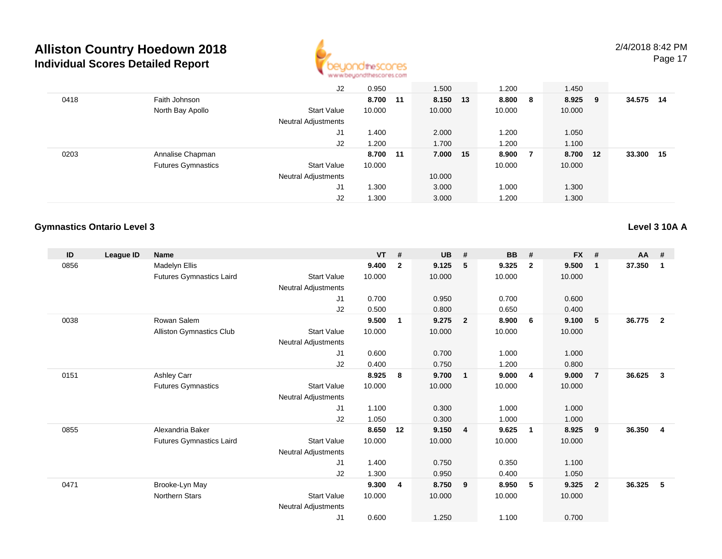

Page 17

|      |                           | J2                         | 0.950    | 1.500    | 1.200   |   | 1.450  |     |        |      |
|------|---------------------------|----------------------------|----------|----------|---------|---|--------|-----|--------|------|
| 0418 | Faith Johnson             |                            | 8.700 11 | 8.150 13 | 8.800 8 |   | 8.925  | - 9 | 34.575 | -14  |
|      | North Bay Apollo          | <b>Start Value</b>         | 10.000   | 10.000   | 10.000  |   | 10.000 |     |        |      |
|      |                           | <b>Neutral Adjustments</b> |          |          |         |   |        |     |        |      |
|      |                           | J1                         | 1.400    | 2.000    | 1.200   |   | 1.050  |     |        |      |
|      |                           | J2                         | 1.200    | 1.700    | 1.200   |   | 1.100  |     |        |      |
| 0203 | Annalise Chapman          |                            | 8.700 11 | 7.000 15 | 8.900   | 7 | 8.700  | 12  | 33.300 | - 15 |
|      | <b>Futures Gymnastics</b> | <b>Start Value</b>         | 10.000   |          | 10.000  |   | 10.000 |     |        |      |
|      |                           | <b>Neutral Adjustments</b> |          | 10.000   |         |   |        |     |        |      |
|      |                           | J1                         | 1.300    | 3.000    | 1.000   |   | 1.300  |     |        |      |
|      |                           | J2                         | 1.300    | 3.000    | 1.200   |   | 1.300  |     |        |      |

#### **Gymnastics Ontario Level 3**

**Level 3 10A A**

| ID   | League ID | <b>Name</b>                     |                            | <b>VT</b> | #              | <b>UB</b> | #                       | <b>BB</b> | #              | <b>FX</b> | #              | AA #   |                |
|------|-----------|---------------------------------|----------------------------|-----------|----------------|-----------|-------------------------|-----------|----------------|-----------|----------------|--------|----------------|
| 0856 |           | Madelyn Ellis                   |                            | 9.400     | $\overline{2}$ | 9.125     | 5                       | 9.325     | $\overline{2}$ | 9.500     | $\mathbf{1}$   | 37.350 | 1              |
|      |           | <b>Futures Gymnastics Laird</b> | <b>Start Value</b>         | 10.000    |                | 10.000    |                         | 10.000    |                | 10.000    |                |        |                |
|      |           |                                 | Neutral Adjustments        |           |                |           |                         |           |                |           |                |        |                |
|      |           |                                 | J1                         | 0.700     |                | 0.950     |                         | 0.700     |                | 0.600     |                |        |                |
|      |           |                                 | J2                         | 0.500     |                | 0.800     |                         | 0.650     |                | 0.400     |                |        |                |
| 0038 |           | Rowan Salem                     |                            | 9.500     | $\mathbf{1}$   | 9.275     | $\overline{\mathbf{2}}$ | 8.900     | - 6            | 9.100     | 5              | 36.775 | $\overline{2}$ |
|      |           | Alliston Gymnastics Club        | <b>Start Value</b>         | 10.000    |                | 10.000    |                         | 10.000    |                | 10.000    |                |        |                |
|      |           |                                 | Neutral Adjustments        |           |                |           |                         |           |                |           |                |        |                |
|      |           |                                 | J <sub>1</sub>             | 0.600     |                | 0.700     |                         | 1.000     |                | 1.000     |                |        |                |
|      |           |                                 | J2                         | 0.400     |                | 0.750     |                         | 1.200     |                | 0.800     |                |        |                |
| 0151 |           | Ashley Carr                     |                            | 8.925     | 8              | 9.700     | $\overline{\mathbf{1}}$ | 9.000     | $\overline{4}$ | 9.000     | $\overline{7}$ | 36.625 | 3              |
|      |           | <b>Futures Gymnastics</b>       | <b>Start Value</b>         | 10.000    |                | 10.000    |                         | 10.000    |                | 10.000    |                |        |                |
|      |           |                                 | Neutral Adjustments        |           |                |           |                         |           |                |           |                |        |                |
|      |           |                                 | J <sub>1</sub>             | 1.100     |                | 0.300     |                         | 1.000     |                | 1.000     |                |        |                |
|      |           |                                 | J2                         | 1.050     |                | 0.300     |                         | 1.000     |                | 1.000     |                |        |                |
| 0855 |           | Alexandria Baker                |                            | 8.650     | 12             | 9.150     | $\overline{4}$          | 9.625     | $\mathbf{1}$   | 8.925     | 9              | 36.350 | $\overline{4}$ |
|      |           | <b>Futures Gymnastics Laird</b> | <b>Start Value</b>         | 10.000    |                | 10.000    |                         | 10.000    |                | 10.000    |                |        |                |
|      |           |                                 | Neutral Adjustments        |           |                |           |                         |           |                |           |                |        |                |
|      |           |                                 | J1                         | 1.400     |                | 0.750     |                         | 0.350     |                | 1.100     |                |        |                |
|      |           |                                 | J2                         | 1.300     |                | 0.950     |                         | 0.400     |                | 1.050     |                |        |                |
| 0471 |           | Brooke-Lyn May                  |                            | 9.300     | 4              | 8.750     | 9                       | 8.950     | -5             | 9.325     | $\mathbf{2}$   | 36.325 | 5              |
|      |           | Northern Stars                  | <b>Start Value</b>         | 10.000    |                | 10.000    |                         | 10.000    |                | 10.000    |                |        |                |
|      |           |                                 | <b>Neutral Adjustments</b> |           |                |           |                         |           |                |           |                |        |                |
|      |           |                                 | J1                         | 0.600     |                | 1.250     |                         | 1.100     |                | 0.700     |                |        |                |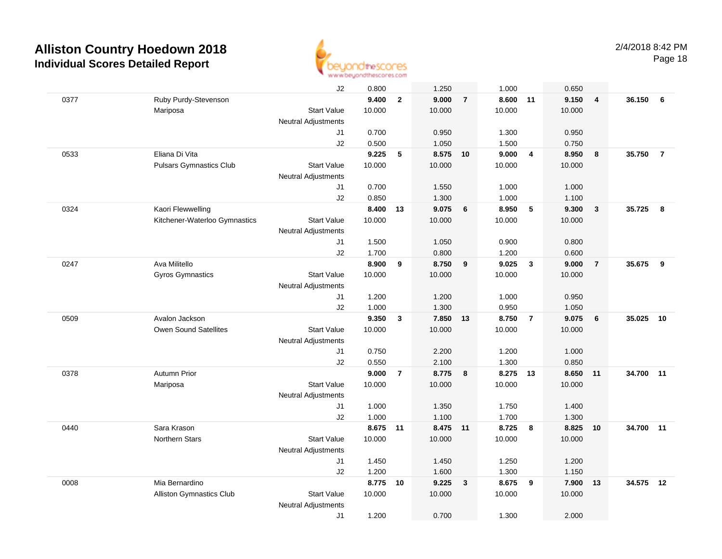

|      |                                 | J2                         | 0.800    |                | 1.250    |                         | 1.000  |                         | 0.650  |                         |        |                |
|------|---------------------------------|----------------------------|----------|----------------|----------|-------------------------|--------|-------------------------|--------|-------------------------|--------|----------------|
| 0377 | Ruby Purdy-Stevenson            |                            | 9.400    | $\mathbf{2}$   | 9.000    | $\overline{7}$          | 8.600  | 11                      | 9.150  | $\overline{\mathbf{4}}$ | 36.150 | 6              |
|      | Mariposa                        | <b>Start Value</b>         | 10.000   |                | 10.000   |                         | 10.000 |                         | 10.000 |                         |        |                |
|      |                                 | <b>Neutral Adjustments</b> |          |                |          |                         |        |                         |        |                         |        |                |
|      |                                 | J1                         | 0.700    |                | 0.950    |                         | 1.300  |                         | 0.950  |                         |        |                |
|      |                                 | J2                         | 0.500    |                | 1.050    |                         | 1.500  |                         | 0.750  |                         |        |                |
| 0533 | Eliana Di Vita                  |                            | 9.225    | $\sqrt{5}$     | 8.575    | 10                      | 9.000  | $\overline{4}$          | 8.950  | 8                       | 35.750 | $\overline{7}$ |
|      | <b>Pulsars Gymnastics Club</b>  | <b>Start Value</b>         | 10.000   |                | 10.000   |                         | 10.000 |                         | 10.000 |                         |        |                |
|      |                                 | <b>Neutral Adjustments</b> |          |                |          |                         |        |                         |        |                         |        |                |
|      |                                 | J1                         | 0.700    |                | 1.550    |                         | 1.000  |                         | 1.000  |                         |        |                |
|      |                                 | J2                         | 0.850    |                | 1.300    |                         | 1.000  |                         | 1.100  |                         |        |                |
| 0324 | Kaori Flewwelling               |                            | 8.400    | 13             | 9.075    | 6                       | 8.950  | 5                       | 9.300  | $\mathbf{3}$            | 35.725 | 8              |
|      | Kitchener-Waterloo Gymnastics   | <b>Start Value</b>         | 10.000   |                | 10.000   |                         | 10.000 |                         | 10.000 |                         |        |                |
|      |                                 | <b>Neutral Adjustments</b> |          |                |          |                         |        |                         |        |                         |        |                |
|      |                                 | J1                         | 1.500    |                | 1.050    |                         | 0.900  |                         | 0.800  |                         |        |                |
|      |                                 | J2                         | 1.700    |                | 0.800    |                         | 1.200  |                         | 0.600  |                         |        |                |
| 0247 | Ava Militello                   |                            | 8.900    | 9              | 8.750    | 9                       | 9.025  | $\overline{\mathbf{3}}$ | 9.000  | $\overline{7}$          | 35.675 | 9              |
|      | <b>Gyros Gymnastics</b>         | <b>Start Value</b>         | 10.000   |                | 10.000   |                         | 10.000 |                         | 10.000 |                         |        |                |
|      |                                 | <b>Neutral Adjustments</b> |          |                |          |                         |        |                         |        |                         |        |                |
|      |                                 | J1                         | 1.200    |                | 1.200    |                         | 1.000  |                         | 0.950  |                         |        |                |
|      |                                 | J2                         | 1.000    |                | 1.300    |                         | 0.950  |                         | 1.050  |                         |        |                |
| 0509 | Avalon Jackson                  |                            | 9.350    | $\mathbf{3}$   | 7.850    | 13                      | 8.750  | $\overline{7}$          | 9.075  | 6                       | 35.025 | 10             |
|      | <b>Owen Sound Satellites</b>    | <b>Start Value</b>         | 10.000   |                | 10.000   |                         | 10.000 |                         | 10.000 |                         |        |                |
|      |                                 | <b>Neutral Adjustments</b> |          |                |          |                         |        |                         |        |                         |        |                |
|      |                                 | J1                         | 0.750    |                | 2.200    |                         | 1.200  |                         | 1.000  |                         |        |                |
|      |                                 | J2                         | 0.550    |                | 2.100    |                         | 1.300  |                         | 0.850  |                         |        |                |
| 0378 | <b>Autumn Prior</b>             |                            | 9.000    | $\overline{7}$ | 8.775    | 8                       | 8.275  | 13                      | 8.650  | 11                      | 34.700 | 11             |
|      | Mariposa                        | <b>Start Value</b>         | 10.000   |                | 10.000   |                         | 10.000 |                         | 10.000 |                         |        |                |
|      |                                 | <b>Neutral Adjustments</b> |          |                |          |                         |        |                         |        |                         |        |                |
|      |                                 | J1                         | 1.000    |                | 1.350    |                         | 1.750  |                         | 1.400  |                         |        |                |
|      |                                 | J2                         | 1.000    |                | 1.100    |                         | 1.700  |                         | 1.300  |                         |        |                |
| 0440 | Sara Krason                     |                            | 8.675 11 |                | 8.475 11 |                         | 8.725  | 8                       | 8.825  | 10                      | 34.700 | 11             |
|      | <b>Northern Stars</b>           | <b>Start Value</b>         | 10.000   |                | 10.000   |                         | 10.000 |                         | 10.000 |                         |        |                |
|      |                                 | <b>Neutral Adjustments</b> |          |                |          |                         |        |                         |        |                         |        |                |
|      |                                 | J1                         | 1.450    |                | 1.450    |                         | 1.250  |                         | 1.200  |                         |        |                |
|      |                                 | J2                         | 1.200    |                | 1.600    |                         | 1.300  |                         | 1.150  |                         |        |                |
| 0008 | Mia Bernardino                  |                            | 8.775    | 10             | 9.225    | $\overline{\mathbf{3}}$ | 8.675  | 9                       | 7.900  | 13                      | 34.575 | 12             |
|      | <b>Alliston Gymnastics Club</b> | <b>Start Value</b>         | 10.000   |                | 10.000   |                         | 10.000 |                         | 10.000 |                         |        |                |
|      |                                 | <b>Neutral Adjustments</b> |          |                |          |                         |        |                         |        |                         |        |                |
|      |                                 | J1                         | 1.200    |                | 0.700    |                         | 1.300  |                         | 2.000  |                         |        |                |
|      |                                 |                            |          |                |          |                         |        |                         |        |                         |        |                |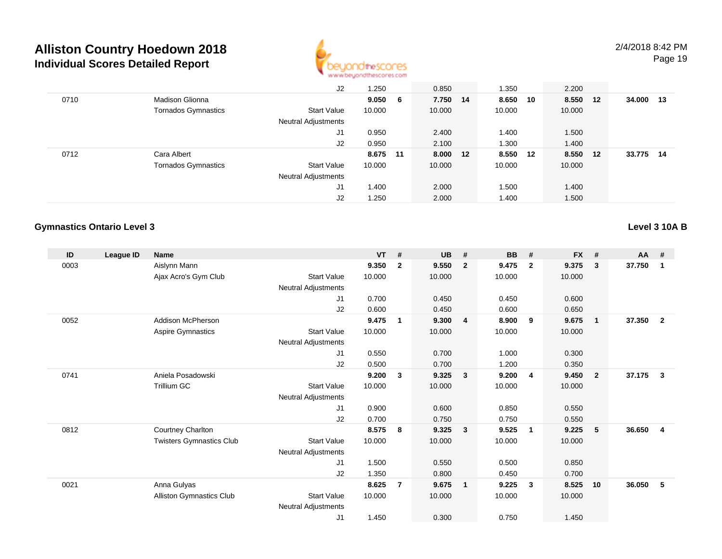

Page 19

|      |                            | J2                         | 1.250    |    | 0.850    | 1.350    |    | 2.200    |        |      |
|------|----------------------------|----------------------------|----------|----|----------|----------|----|----------|--------|------|
| 0710 | Madison Glionna            |                            | 9.050    | -6 | 7.750 14 | 8.650    | 10 | 8.550 12 | 34.000 | - 13 |
|      | <b>Tornados Gymnastics</b> | <b>Start Value</b>         | 10.000   |    | 10.000   | 10.000   |    | 10.000   |        |      |
|      |                            | Neutral Adjustments        |          |    |          |          |    |          |        |      |
|      |                            | J1                         | 0.950    |    | 2.400    | 1.400    |    | 1.500    |        |      |
|      |                            | J2                         | 0.950    |    | 2.100    | 1.300    |    | 1.400    |        |      |
| 0712 | Cara Albert                |                            | 8.675 11 |    | 8.000 12 | 8.550 12 |    | 8.550 12 | 33.775 | -14  |
|      | <b>Tornados Gymnastics</b> | Start Value                | 10.000   |    | 10.000   | 10.000   |    | 10.000   |        |      |
|      |                            | <b>Neutral Adjustments</b> |          |    |          |          |    |          |        |      |
|      |                            | J1                         | 1.400    |    | 2.000    | 1.500    |    | 1.400    |        |      |
|      |                            | J2                         | 1.250    |    | 2.000    | 1.400    |    | 1.500    |        |      |

#### **Gymnastics Ontario Level 3**

**Level 3 10A B**

| ID   | League ID | <b>Name</b>                     |                            | <b>VT</b> | #              | <b>UB</b> | #                       | <b>BB</b> | #              | <b>FX</b> | #            | AA #   |                |
|------|-----------|---------------------------------|----------------------------|-----------|----------------|-----------|-------------------------|-----------|----------------|-----------|--------------|--------|----------------|
| 0003 |           | Aislynn Mann                    |                            | 9.350     | $\overline{2}$ | 9.550     | $\overline{2}$          | 9.475     | $\overline{2}$ | 9.375     | 3            | 37.750 | $\mathbf 1$    |
|      |           | Ajax Acro's Gym Club            | <b>Start Value</b>         | 10.000    |                | 10.000    |                         | 10.000    |                | 10.000    |              |        |                |
|      |           |                                 | Neutral Adjustments        |           |                |           |                         |           |                |           |              |        |                |
|      |           |                                 | J1                         | 0.700     |                | 0.450     |                         | 0.450     |                | 0.600     |              |        |                |
|      |           |                                 | J2                         | 0.600     |                | 0.450     |                         | 0.600     |                | 0.650     |              |        |                |
| 0052 |           | <b>Addison McPherson</b>        |                            | 9.475     | $\mathbf{1}$   | 9.300     | $\overline{4}$          | 8.900     | 9              | 9.675     | $\mathbf{1}$ | 37.350 | $\overline{2}$ |
|      |           | Aspire Gymnastics               | <b>Start Value</b>         | 10.000    |                | 10.000    |                         | 10.000    |                | 10.000    |              |        |                |
|      |           |                                 | Neutral Adjustments        |           |                |           |                         |           |                |           |              |        |                |
|      |           |                                 | J <sub>1</sub>             | 0.550     |                | 0.700     |                         | 1.000     |                | 0.300     |              |        |                |
|      |           |                                 | J2                         | 0.500     |                | 0.700     |                         | 1.200     |                | 0.350     |              |        |                |
| 0741 |           | Aniela Posadowski               |                            | 9.200     | 3              | 9.325     | $\overline{\mathbf{3}}$ | 9.200     | $\overline{4}$ | 9.450     | $\mathbf{2}$ | 37.175 | 3              |
|      |           | <b>Trillium GC</b>              | <b>Start Value</b>         | 10.000    |                | 10.000    |                         | 10.000    |                | 10.000    |              |        |                |
|      |           |                                 | Neutral Adjustments        |           |                |           |                         |           |                |           |              |        |                |
|      |           |                                 | J <sub>1</sub>             | 0.900     |                | 0.600     |                         | 0.850     |                | 0.550     |              |        |                |
|      |           |                                 | J2                         | 0.700     |                | 0.750     |                         | 0.750     |                | 0.550     |              |        |                |
| 0812 |           | Courtney Charlton               |                            | 8.575     | 8              | 9.325     | $\mathbf{3}$            | 9.525     | -1             | 9.225     | 5            | 36.650 | $\overline{4}$ |
|      |           | <b>Twisters Gymnastics Club</b> | <b>Start Value</b>         | 10.000    |                | 10.000    |                         | 10.000    |                | 10.000    |              |        |                |
|      |           |                                 | Neutral Adjustments        |           |                |           |                         |           |                |           |              |        |                |
|      |           |                                 | J1                         | 1.500     |                | 0.550     |                         | 0.500     |                | 0.850     |              |        |                |
|      |           |                                 | J2                         | 1.350     |                | 0.800     |                         | 0.450     |                | 0.700     |              |        |                |
| 0021 |           | Anna Gulyas                     |                            | 8.625     | $\overline{7}$ | 9.675     | $\overline{\mathbf{1}}$ | 9.225     | 3              | 8.525     | 10           | 36.050 | 5              |
|      |           | <b>Alliston Gymnastics Club</b> | <b>Start Value</b>         | 10.000    |                | 10.000    |                         | 10.000    |                | 10.000    |              |        |                |
|      |           |                                 | <b>Neutral Adjustments</b> |           |                |           |                         |           |                |           |              |        |                |
|      |           |                                 | J1                         | 1.450     |                | 0.300     |                         | 0.750     |                | 1.450     |              |        |                |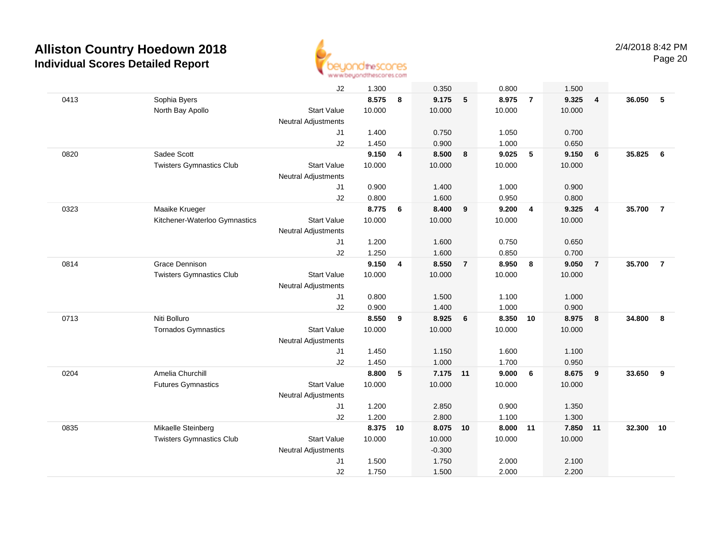

|      |                                 | J2                         | 1.300  |    | 0.350    |                 | 0.800    |                         | 1.500  |                         |        |                |
|------|---------------------------------|----------------------------|--------|----|----------|-----------------|----------|-------------------------|--------|-------------------------|--------|----------------|
| 0413 | Sophia Byers                    |                            | 8.575  | 8  | 9.175    | $5\phantom{.0}$ | 8.975    | $\overline{7}$          | 9.325  | $\overline{\mathbf{4}}$ | 36.050 | 5              |
|      | North Bay Apollo                | <b>Start Value</b>         | 10.000 |    | 10.000   |                 | 10.000   |                         | 10.000 |                         |        |                |
|      |                                 | <b>Neutral Adjustments</b> |        |    |          |                 |          |                         |        |                         |        |                |
|      |                                 | J1                         | 1.400  |    | 0.750    |                 | 1.050    |                         | 0.700  |                         |        |                |
|      |                                 | J2                         | 1.450  |    | 0.900    |                 | 1.000    |                         | 0.650  |                         |        |                |
| 0820 | Sadee Scott                     |                            | 9.150  | 4  | 8.500    | 8               | 9.025    | 5                       | 9.150  | 6                       | 35.825 | 6              |
|      | <b>Twisters Gymnastics Club</b> | <b>Start Value</b>         | 10.000 |    | 10.000   |                 | 10.000   |                         | 10.000 |                         |        |                |
|      |                                 | Neutral Adjustments        |        |    |          |                 |          |                         |        |                         |        |                |
|      |                                 | J1                         | 0.900  |    | 1.400    |                 | 1.000    |                         | 0.900  |                         |        |                |
|      |                                 | J2                         | 0.800  |    | 1.600    |                 | 0.950    |                         | 0.800  |                         |        |                |
| 0323 | Maaike Krueger                  |                            | 8.775  | 6  | 8.400    | 9               | 9.200    | $\overline{\mathbf{4}}$ | 9.325  | $\overline{\mathbf{4}}$ | 35.700 | $\overline{7}$ |
|      | Kitchener-Waterloo Gymnastics   | <b>Start Value</b>         | 10.000 |    | 10.000   |                 | 10.000   |                         | 10.000 |                         |        |                |
|      |                                 | <b>Neutral Adjustments</b> |        |    |          |                 |          |                         |        |                         |        |                |
|      |                                 | J1                         | 1.200  |    | 1.600    |                 | 0.750    |                         | 0.650  |                         |        |                |
|      |                                 | J2                         | 1.250  |    | 1.600    |                 | 0.850    |                         | 0.700  |                         |        |                |
| 0814 | Grace Dennison                  |                            | 9.150  | 4  | 8.550    | $\overline{7}$  | 8.950    | 8                       | 9.050  | $\overline{7}$          | 35.700 | $\overline{7}$ |
|      | <b>Twisters Gymnastics Club</b> | <b>Start Value</b>         | 10.000 |    | 10.000   |                 | 10.000   |                         | 10.000 |                         |        |                |
|      |                                 | <b>Neutral Adjustments</b> |        |    |          |                 |          |                         |        |                         |        |                |
|      |                                 | J1                         | 0.800  |    | 1.500    |                 | 1.100    |                         | 1.000  |                         |        |                |
|      |                                 | J2                         | 0.900  |    | 1.400    |                 | 1.000    |                         | 0.900  |                         |        |                |
| 0713 | Niti Bolluro                    |                            | 8.550  | 9  | 8.925    | 6               | 8.350 10 |                         | 8.975  | 8                       | 34.800 | 8              |
|      | <b>Tornados Gymnastics</b>      | <b>Start Value</b>         | 10.000 |    | 10.000   |                 | 10.000   |                         | 10.000 |                         |        |                |
|      |                                 | Neutral Adjustments        |        |    |          |                 |          |                         |        |                         |        |                |
|      |                                 | J1                         | 1.450  |    | 1.150    |                 | 1.600    |                         | 1.100  |                         |        |                |
|      |                                 | J2                         | 1.450  |    | 1.000    |                 | 1.700    |                         | 0.950  |                         |        |                |
| 0204 | Amelia Churchill                |                            | 8.800  | 5  | 7.175 11 |                 | 9.000    | 6                       | 8.675  | 9                       | 33.650 | 9              |
|      | <b>Futures Gymnastics</b>       | <b>Start Value</b>         | 10.000 |    | 10.000   |                 | 10.000   |                         | 10.000 |                         |        |                |
|      |                                 | Neutral Adjustments        |        |    |          |                 |          |                         |        |                         |        |                |
|      |                                 | J1                         | 1.200  |    | 2.850    |                 | 0.900    |                         | 1.350  |                         |        |                |
|      |                                 | J2                         | 1.200  |    | 2.800    |                 | 1.100    |                         | 1.300  |                         |        |                |
| 0835 | Mikaelle Steinberg              |                            | 8.375  | 10 | 8.075 10 |                 | 8.000 11 |                         | 7.850  | 11                      | 32.300 | 10             |
|      | <b>Twisters Gymnastics Club</b> | <b>Start Value</b>         | 10.000 |    | 10.000   |                 | 10.000   |                         | 10.000 |                         |        |                |
|      |                                 | Neutral Adjustments        |        |    | $-0.300$ |                 |          |                         |        |                         |        |                |
|      |                                 | J <sub>1</sub>             | 1.500  |    | 1.750    |                 | 2.000    |                         | 2.100  |                         |        |                |
|      |                                 | J2                         | 1.750  |    | 1.500    |                 | 2.000    |                         | 2.200  |                         |        |                |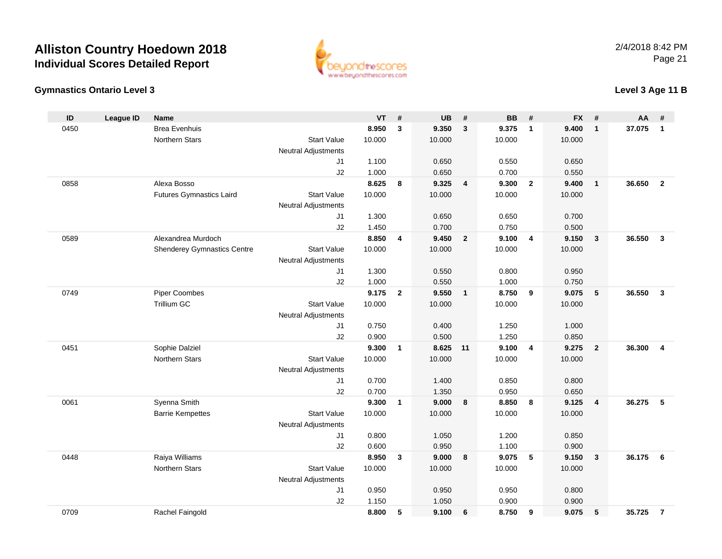



#### **Level 3 Age 11 B**

| ID   | <b>League ID</b> | <b>Name</b>                        |                            | <b>VT</b>      | #              | <b>UB</b>      | #              | <b>BB</b>      | #              | <b>FX</b>      | #                       | AA     | #                       |
|------|------------------|------------------------------------|----------------------------|----------------|----------------|----------------|----------------|----------------|----------------|----------------|-------------------------|--------|-------------------------|
| 0450 |                  | <b>Brea Evenhuis</b>               |                            | 8.950          | 3              | 9.350          | $\mathbf{3}$   | 9.375          | $\overline{1}$ | 9.400          | $\mathbf{1}$            | 37.075 | $\mathbf{1}$            |
|      |                  | <b>Northern Stars</b>              | <b>Start Value</b>         | 10.000         |                | 10.000         |                | 10.000         |                | 10.000         |                         |        |                         |
|      |                  |                                    | <b>Neutral Adjustments</b> |                |                |                |                |                |                |                |                         |        |                         |
|      |                  |                                    | J <sub>1</sub>             | 1.100          |                | 0.650          |                | 0.550          |                | 0.650          |                         |        |                         |
|      |                  |                                    | J2                         | 1.000          |                | 0.650          |                | 0.700          |                | 0.550          |                         |        |                         |
| 0858 |                  | Alexa Bosso                        |                            | 8.625          | 8              | 9.325          | $\overline{4}$ | 9.300          | $\overline{2}$ | 9.400          | $\overline{1}$          | 36.650 | $\overline{2}$          |
|      |                  | <b>Futures Gymnastics Laird</b>    | <b>Start Value</b>         | 10.000         |                | 10.000         |                | 10.000         |                | 10.000         |                         |        |                         |
|      |                  |                                    | <b>Neutral Adjustments</b> |                |                |                |                |                |                |                |                         |        |                         |
|      |                  |                                    | J <sub>1</sub>             | 1.300          |                | 0.650          |                | 0.650          |                | 0.700          |                         |        |                         |
|      |                  |                                    | J2                         | 1.450          |                | 0.700          |                | 0.750          |                | 0.500          |                         |        |                         |
| 0589 |                  | Alexandrea Murdoch                 |                            | 8.850          | 4              | 9.450          | $\overline{2}$ | 9.100          | $\overline{4}$ | 9.150          | $\mathbf{3}$            | 36.550 | $\overline{3}$          |
|      |                  | <b>Shenderey Gymnastics Centre</b> | <b>Start Value</b>         | 10.000         |                | 10.000         |                | 10.000         |                | 10.000         |                         |        |                         |
|      |                  |                                    | Neutral Adjustments        |                |                |                |                |                |                |                |                         |        |                         |
|      |                  |                                    | J <sub>1</sub><br>J2       | 1.300<br>1.000 |                | 0.550<br>0.550 |                | 0.800<br>1.000 |                | 0.950<br>0.750 |                         |        |                         |
| 0749 |                  | <b>Piper Coombes</b>               |                            | 9.175          | $\overline{2}$ | 9.550          | $\mathbf{1}$   | 8.750          | 9              | 9.075          | 5                       | 36.550 | $\overline{3}$          |
|      |                  | <b>Trillium GC</b>                 | <b>Start Value</b>         | 10.000         |                | 10.000         |                | 10.000         |                | 10.000         |                         |        |                         |
|      |                  |                                    | <b>Neutral Adjustments</b> |                |                |                |                |                |                |                |                         |        |                         |
|      |                  |                                    | J <sub>1</sub>             | 0.750          |                | 0.400          |                | 1.250          |                | 1.000          |                         |        |                         |
|      |                  |                                    | J2                         | 0.900          |                | 0.500          |                | 1.250          |                | 0.850          |                         |        |                         |
| 0451 |                  | Sophie Dalziel                     |                            | 9.300          | $\mathbf{1}$   | 8.625          | 11             | 9.100          | $\overline{4}$ | 9.275          | $\overline{2}$          | 36.300 | $\overline{\mathbf{4}}$ |
|      |                  | <b>Northern Stars</b>              | <b>Start Value</b>         | 10.000         |                | 10.000         |                | 10.000         |                | 10.000         |                         |        |                         |
|      |                  |                                    | Neutral Adjustments        |                |                |                |                |                |                |                |                         |        |                         |
|      |                  |                                    | J <sub>1</sub>             | 0.700          |                | 1.400          |                | 0.850          |                | 0.800          |                         |        |                         |
|      |                  |                                    | J2                         | 0.700          |                | 1.350          |                | 0.950          |                | 0.650          |                         |        |                         |
| 0061 |                  | Syenna Smith                       |                            | 9.300          | $\mathbf{1}$   | 9.000          | 8              | 8.850          | 8              | 9.125          | $\overline{\mathbf{4}}$ | 36.275 | 5                       |
|      |                  | <b>Barrie Kempettes</b>            | <b>Start Value</b>         | 10.000         |                | 10.000         |                | 10.000         |                | 10.000         |                         |        |                         |
|      |                  |                                    | Neutral Adjustments        |                |                |                |                |                |                |                |                         |        |                         |
|      |                  |                                    | J1                         | 0.800          |                | 1.050          |                | 1.200          |                | 0.850          |                         |        |                         |
|      |                  |                                    | J2                         | 0.600          |                | 0.950          |                | 1.100          |                | 0.900          |                         |        |                         |
| 0448 |                  | Raiya Williams                     |                            | 8.950          | 3              | 9.000          | 8              | 9.075          | 5              | 9.150          | $\mathbf{3}$            | 36.175 | 6                       |
|      |                  | Northern Stars                     | <b>Start Value</b>         | 10.000         |                | 10.000         |                | 10.000         |                | 10.000         |                         |        |                         |
|      |                  |                                    | <b>Neutral Adjustments</b> |                |                |                |                |                |                |                |                         |        |                         |
|      |                  |                                    | J1                         | 0.950          |                | 0.950          |                | 0.950          |                | 0.800          |                         |        |                         |
|      |                  |                                    | J2                         | 1.150          |                | 1.050          |                | 0.900          |                | 0.900          |                         |        |                         |
| 0709 |                  | Rachel Faingold                    |                            | 8.800          | 5              | 9.100          | 6              | 8.750          | 9              | 9.075          | 5                       | 35.725 | $\overline{7}$          |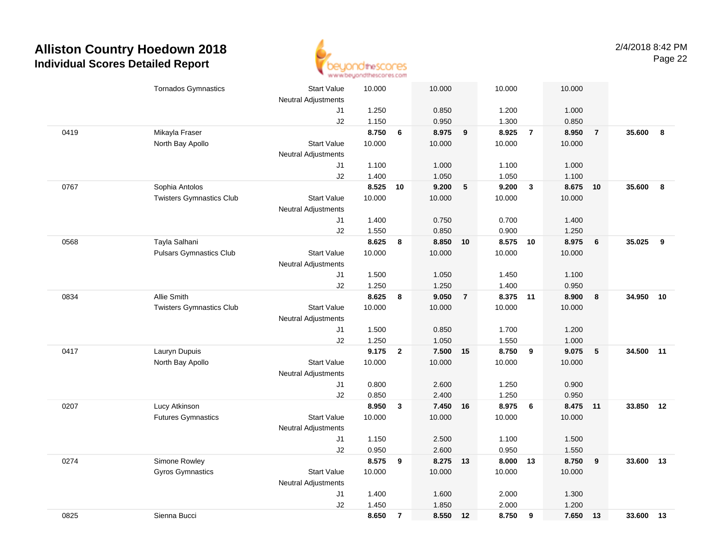

|      | <b>Tornados Gymnastics</b>      | <b>Start Value</b>         | 10.000 |                | 10.000   |                | 10.000   |                | 10.000   |                |           |     |
|------|---------------------------------|----------------------------|--------|----------------|----------|----------------|----------|----------------|----------|----------------|-----------|-----|
|      |                                 | <b>Neutral Adjustments</b> |        |                |          |                |          |                |          |                |           |     |
|      |                                 | J1                         | 1.250  |                | 0.850    |                | 1.200    |                | 1.000    |                |           |     |
|      |                                 | J2                         | 1.150  |                | 0.950    |                | 1.300    |                | 0.850    |                |           |     |
| 0419 | Mikayla Fraser                  |                            | 8.750  | 6              | 8.975    | 9              | 8.925    | $\overline{7}$ | 8.950    | $\overline{7}$ | 35.600    | 8   |
|      | North Bay Apollo                | <b>Start Value</b>         | 10.000 |                | 10.000   |                | 10.000   |                | 10.000   |                |           |     |
|      |                                 | <b>Neutral Adjustments</b> |        |                |          |                |          |                |          |                |           |     |
|      |                                 | J1                         | 1.100  |                | 1.000    |                | 1.100    |                | 1.000    |                |           |     |
|      |                                 | J2                         | 1.400  |                | 1.050    |                | 1.050    |                | 1.100    |                |           |     |
| 0767 | Sophia Antolos                  |                            | 8.525  | 10             | 9.200    | 5              | 9.200    | $\mathbf{3}$   | 8.675    | 10             | 35.600    | - 8 |
|      | <b>Twisters Gymnastics Club</b> | <b>Start Value</b>         | 10.000 |                | 10.000   |                | 10.000   |                | 10.000   |                |           |     |
|      |                                 | <b>Neutral Adjustments</b> |        |                |          |                |          |                |          |                |           |     |
|      |                                 | J1                         | 1.400  |                | 0.750    |                | 0.700    |                | 1.400    |                |           |     |
|      |                                 | J2                         | 1.550  |                | 0.850    |                | 0.900    |                | 1.250    |                |           |     |
| 0568 | Tayla Salhani                   |                            | 8.625  | 8              | 8.850    | 10             | 8.575 10 |                | 8.975    | 6              | 35.025    | 9   |
|      | <b>Pulsars Gymnastics Club</b>  | <b>Start Value</b>         | 10.000 |                | 10.000   |                | 10.000   |                | 10.000   |                |           |     |
|      |                                 | <b>Neutral Adjustments</b> |        |                |          |                |          |                |          |                |           |     |
|      |                                 | J1                         | 1.500  |                | 1.050    |                | 1.450    |                | 1.100    |                |           |     |
|      |                                 | J2                         | 1.250  |                | 1.250    |                | 1.400    |                | 0.950    |                |           |     |
| 0834 | Allie Smith                     |                            | 8.625  | 8              | 9.050    | $\overline{7}$ | 8.375 11 |                | 8.900    | 8              | 34.950    | 10  |
|      | <b>Twisters Gymnastics Club</b> | <b>Start Value</b>         | 10.000 |                | 10.000   |                | 10.000   |                | 10.000   |                |           |     |
|      |                                 | <b>Neutral Adjustments</b> |        |                |          |                |          |                |          |                |           |     |
|      |                                 | J1                         | 1.500  |                | 0.850    |                | 1.700    |                | 1.200    |                |           |     |
|      |                                 | J2                         | 1.250  |                | 1.050    |                | 1.550    |                | 1.000    |                |           |     |
| 0417 | Lauryn Dupuis                   |                            | 9.175  | $\overline{2}$ | 7.500    | 15             | 8.750    | 9              | 9.075    | $5\phantom{1}$ | 34.500    | 11  |
|      | North Bay Apollo                | <b>Start Value</b>         | 10.000 |                | 10.000   |                | 10.000   |                | 10.000   |                |           |     |
|      |                                 | <b>Neutral Adjustments</b> |        |                |          |                |          |                |          |                |           |     |
|      |                                 | J1                         | 0.800  |                | 2.600    |                | 1.250    |                | 0.900    |                |           |     |
|      |                                 | J2                         | 0.850  |                | 2.400    |                | 1.250    |                | 0.950    |                |           |     |
| 0207 | Lucy Atkinson                   |                            | 8.950  | 3              | 7.450    | 16             | 8.975    | 6              | 8.475 11 |                | 33.850 12 |     |
|      | <b>Futures Gymnastics</b>       | <b>Start Value</b>         | 10.000 |                | 10.000   |                | 10.000   |                | 10.000   |                |           |     |
|      |                                 | <b>Neutral Adjustments</b> |        |                |          |                |          |                |          |                |           |     |
|      |                                 | J1                         | 1.150  |                | 2.500    |                | 1.100    |                | 1.500    |                |           |     |
|      |                                 | J2                         | 0.950  |                | 2.600    |                | 0.950    |                | 1.550    |                |           |     |
| 0274 | Simone Rowley                   |                            | 8.575  | 9              | 8.275 13 |                | 8.000    | 13             | 8.750    | 9              | 33.600    | 13  |
|      | <b>Gyros Gymnastics</b>         | <b>Start Value</b>         | 10.000 |                | 10.000   |                | 10.000   |                | 10.000   |                |           |     |
|      |                                 | <b>Neutral Adjustments</b> |        |                |          |                |          |                |          |                |           |     |
|      |                                 | J1                         | 1.400  |                | 1.600    |                | 2.000    |                | 1.300    |                |           |     |
|      |                                 | J2                         | 1.450  |                | 1.850    |                | 2.000    |                | 1.200    |                |           |     |
| 0825 | Sienna Bucci                    |                            | 8.650  | $\overline{7}$ | 8.550    | 12             | 8.750    | 9              | 7.650 13 |                | 33.600    | 13  |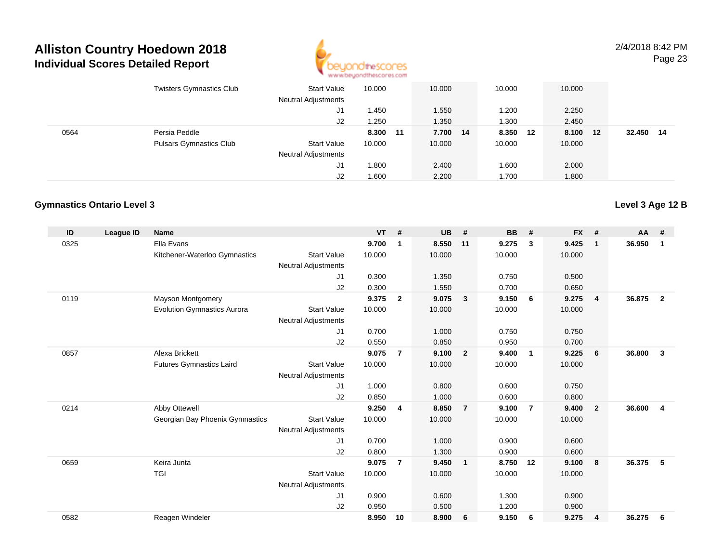

2/4/2018 8:42 PMPage 23

|      | <b>Twisters Gymnastics Club</b> | Start Value<br><b>Neutral Adjustments</b> | 10.000   | 10.000   | 10.000 |    | 10.000 |    |        |     |
|------|---------------------------------|-------------------------------------------|----------|----------|--------|----|--------|----|--------|-----|
|      |                                 | J1                                        | 1.450    | 1.550    | .200   |    | 2.250  |    |        |     |
|      |                                 | J2                                        | 1.250    | 1.350    | .300   |    | 2.450  |    |        |     |
| 0564 | Persia Peddle                   |                                           | 8.300 11 | 7.700 14 | 8.350  | 12 | 8.100  | 12 | 32.450 | -14 |
|      | <b>Pulsars Gymnastics Club</b>  | <b>Start Value</b>                        | 10.000   | 10.000   | 10.000 |    | 10.000 |    |        |     |
|      |                                 | <b>Neutral Adjustments</b>                |          |          |        |    |        |    |        |     |
|      |                                 | J1                                        | 1.800    | 2.400    | 1.600  |    | 2.000  |    |        |     |
|      |                                 | J2                                        | 1.600    | 2.200    | 1.700  |    | 1.800  |    |        |     |

#### **Gymnastics Ontario Level 3**

| ID   | League ID | <b>Name</b>                        |                            | <b>VT</b> | #              | <b>UB</b> | #                       | <b>BB</b> | #              | <b>FX</b> | #              | <b>AA</b> | #              |
|------|-----------|------------------------------------|----------------------------|-----------|----------------|-----------|-------------------------|-----------|----------------|-----------|----------------|-----------|----------------|
| 0325 |           | Ella Evans                         |                            | 9.700     | 1              | 8.550     | 11                      | 9.275     | 3              | 9.425     | $\mathbf{1}$   | 36.950    | 1              |
|      |           | Kitchener-Waterloo Gymnastics      | <b>Start Value</b>         | 10.000    |                | 10.000    |                         | 10.000    |                | 10.000    |                |           |                |
|      |           |                                    | <b>Neutral Adjustments</b> |           |                |           |                         |           |                |           |                |           |                |
|      |           |                                    | J <sub>1</sub>             | 0.300     |                | 1.350     |                         | 0.750     |                | 0.500     |                |           |                |
|      |           |                                    | J2                         | 0.300     |                | 1.550     |                         | 0.700     |                | 0.650     |                |           |                |
| 0119 |           | <b>Mayson Montgomery</b>           |                            | 9.375     | $\overline{2}$ | 9.075     | $\overline{\mathbf{3}}$ | 9.150     | - 6            | 9.275     | $\overline{4}$ | 36.875    | $\overline{2}$ |
|      |           | <b>Evolution Gymnastics Aurora</b> | <b>Start Value</b>         | 10.000    |                | 10.000    |                         | 10.000    |                | 10.000    |                |           |                |
|      |           |                                    | <b>Neutral Adjustments</b> |           |                |           |                         |           |                |           |                |           |                |
|      |           |                                    | J <sub>1</sub>             | 0.700     |                | 1.000     |                         | 0.750     |                | 0.750     |                |           |                |
|      |           |                                    | J2                         | 0.550     |                | 0.850     |                         | 0.950     |                | 0.700     |                |           |                |
| 0857 |           | Alexa Brickett                     |                            | 9.075     | $\overline{7}$ | 9.100     | $\overline{\mathbf{2}}$ | 9.400     | $\mathbf{1}$   | 9.225     | 6              | 36,800    | 3              |
|      |           | <b>Futures Gymnastics Laird</b>    | <b>Start Value</b>         | 10.000    |                | 10.000    |                         | 10.000    |                | 10.000    |                |           |                |
|      |           |                                    | <b>Neutral Adjustments</b> |           |                |           |                         |           |                |           |                |           |                |
|      |           |                                    | J1                         | 1.000     |                | 0.800     |                         | 0.600     |                | 0.750     |                |           |                |
|      |           |                                    | J2                         | 0.850     |                | 1.000     |                         | 0.600     |                | 0.800     |                |           |                |
| 0214 |           | Abby Ottewell                      |                            | 9.250     | 4              | 8.850     | $\overline{7}$          | 9.100     | $\overline{7}$ | 9.400     | $\overline{2}$ | 36,600    | 4              |
|      |           | Georgian Bay Phoenix Gymnastics    | <b>Start Value</b>         | 10.000    |                | 10.000    |                         | 10.000    |                | 10.000    |                |           |                |
|      |           |                                    | <b>Neutral Adjustments</b> |           |                |           |                         |           |                |           |                |           |                |
|      |           |                                    | J <sub>1</sub>             | 0.700     |                | 1.000     |                         | 0.900     |                | 0.600     |                |           |                |
|      |           |                                    | J2                         | 0.800     |                | 1.300     |                         | 0.900     |                | 0.600     |                |           |                |
| 0659 |           | Keira Junta                        |                            | 9.075     | $\overline{7}$ | 9.450     | $\overline{1}$          | 8.750     | 12             | 9.100     | 8              | 36.375    | 5              |
|      |           | <b>TGI</b>                         | <b>Start Value</b>         | 10.000    |                | 10.000    |                         | 10.000    |                | 10.000    |                |           |                |
|      |           |                                    | <b>Neutral Adjustments</b> |           |                |           |                         |           |                |           |                |           |                |
|      |           |                                    | J <sub>1</sub>             | 0.900     |                | 0.600     |                         | 1.300     |                | 0.900     |                |           |                |
|      |           |                                    | J <sub>2</sub>             | 0.950     |                | 0.500     |                         | 1.200     |                | 0.900     |                |           |                |
| 0582 |           | Reagen Windeler                    |                            | 8.950     | 10             | 8.900     | 6                       | 9.150     | 6              | 9.275     | 4              | 36.275    | 6              |

**Level 3 Age 12 B**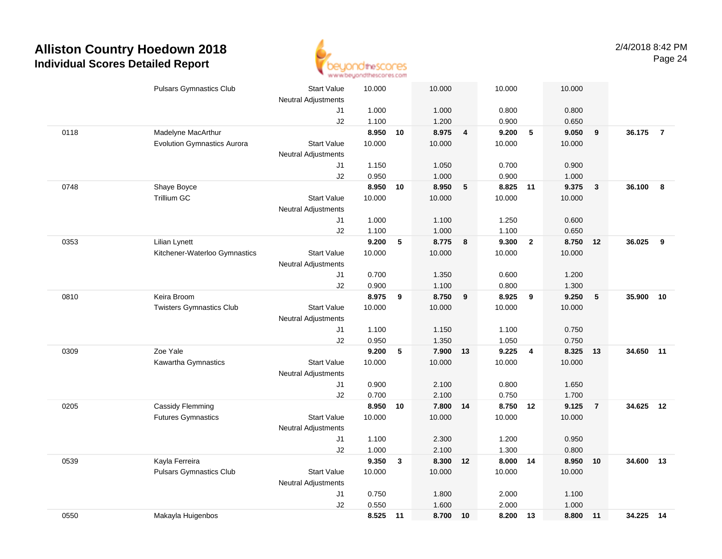

|      | <b>Pulsars Gymnastics Club</b>     | <b>Start Value</b><br>Neutral Adjustments | 10.000 |    | 10.000   |                | 10.000   |                | 10.000   |                         |        |                |
|------|------------------------------------|-------------------------------------------|--------|----|----------|----------------|----------|----------------|----------|-------------------------|--------|----------------|
|      |                                    | J1                                        | 1.000  |    | 1.000    |                | 0.800    |                | 0.800    |                         |        |                |
|      |                                    | J2                                        | 1.100  |    | 1.200    |                | 0.900    |                | 0.650    |                         |        |                |
| 0118 | Madelyne MacArthur                 |                                           | 8.950  | 10 | 8.975    | $\overline{4}$ | 9.200    | 5              | 9.050    | $\overline{9}$          | 36.175 | $\overline{7}$ |
|      | <b>Evolution Gymnastics Aurora</b> | <b>Start Value</b>                        | 10.000 |    | 10.000   |                | 10.000   |                | 10.000   |                         |        |                |
|      |                                    | <b>Neutral Adjustments</b>                |        |    |          |                |          |                |          |                         |        |                |
|      |                                    | J1                                        | 1.150  |    | 1.050    |                | 0.700    |                | 0.900    |                         |        |                |
|      |                                    | J2                                        | 0.950  |    | 1.000    |                | 0.900    |                | 1.000    |                         |        |                |
| 0748 | Shaye Boyce                        |                                           | 8.950  | 10 | 8.950    | 5              | 8.825 11 |                | 9.375    | $\overline{\mathbf{3}}$ | 36.100 | - 8            |
|      | <b>Trillium GC</b>                 | <b>Start Value</b>                        | 10.000 |    | 10.000   |                | 10.000   |                | 10.000   |                         |        |                |
|      |                                    | <b>Neutral Adjustments</b>                |        |    |          |                |          |                |          |                         |        |                |
|      |                                    | J1                                        | 1.000  |    | 1.100    |                | 1.250    |                | 0.600    |                         |        |                |
|      |                                    | J2                                        | 1.100  |    | 1.000    |                | 1.100    |                | 0.650    |                         |        |                |
| 0353 | Lilian Lynett                      |                                           | 9.200  | 5  | 8.775    | 8              | 9.300    | $\overline{2}$ | 8.750 12 |                         | 36.025 | 9              |
|      | Kitchener-Waterloo Gymnastics      | <b>Start Value</b>                        | 10.000 |    | 10.000   |                | 10.000   |                | 10.000   |                         |        |                |
|      |                                    | <b>Neutral Adjustments</b>                |        |    |          |                |          |                |          |                         |        |                |
|      |                                    | J1                                        | 0.700  |    | 1.350    |                | 0.600    |                | 1.200    |                         |        |                |
|      |                                    | J2                                        | 0.900  |    | 1.100    |                | 0.800    |                | 1.300    |                         |        |                |
| 0810 | Keira Broom                        |                                           | 8.975  | 9  | 8.750    | 9              | 8.925    | 9              | 9.250    | $-5$                    | 35.900 | 10             |
|      | <b>Twisters Gymnastics Club</b>    | <b>Start Value</b>                        | 10.000 |    | 10.000   |                | 10.000   |                | 10.000   |                         |        |                |
|      |                                    | <b>Neutral Adjustments</b>                |        |    |          |                |          |                |          |                         |        |                |
|      |                                    | J1                                        | 1.100  |    | 1.150    |                | 1.100    |                | 0.750    |                         |        |                |
|      |                                    | J2                                        | 0.950  |    | 1.350    |                | 1.050    |                | 0.750    |                         |        |                |
| 0309 | Zoe Yale                           |                                           | 9.200  | 5  | 7.900    | 13             | 9.225    | 4              | 8.325    | 13                      | 34.650 | 11             |
|      | Kawartha Gymnastics                | <b>Start Value</b>                        | 10.000 |    | 10.000   |                | 10.000   |                | 10.000   |                         |        |                |
|      |                                    | Neutral Adjustments                       |        |    |          |                |          |                |          |                         |        |                |
|      |                                    | J1                                        | 0.900  |    | 2.100    |                | 0.800    |                | 1.650    |                         |        |                |
|      |                                    | J2                                        | 0.700  |    | 2.100    |                | 0.750    |                | 1.700    |                         |        |                |
| 0205 | Cassidy Flemming                   |                                           | 8.950  | 10 | 7.800 14 |                | 8.750 12 |                | 9.125    | $\overline{7}$          | 34.625 | 12             |
|      | <b>Futures Gymnastics</b>          | <b>Start Value</b>                        | 10.000 |    | 10.000   |                | 10.000   |                | 10.000   |                         |        |                |
|      |                                    | <b>Neutral Adjustments</b>                |        |    |          |                |          |                |          |                         |        |                |
|      |                                    | J1                                        | 1.100  |    | 2.300    |                | 1.200    |                | 0.950    |                         |        |                |
|      |                                    | J2                                        | 1.000  |    | 2.100    |                | 1.300    |                | 0.800    |                         |        |                |
| 0539 | Kayla Ferreira                     |                                           | 9.350  | 3  | 8.300    | 12             | 8.000 14 |                | 8.950    | 10                      | 34.600 | 13             |
|      | <b>Pulsars Gymnastics Club</b>     | <b>Start Value</b>                        | 10.000 |    | 10.000   |                | 10.000   |                | 10.000   |                         |        |                |
|      |                                    | Neutral Adjustments                       |        |    |          |                |          |                |          |                         |        |                |
|      |                                    | J1                                        | 0.750  |    | 1.800    |                | 2.000    |                | 1.100    |                         |        |                |
|      |                                    | J2                                        | 0.550  |    | 1.600    |                | 2.000    |                | 1.000    |                         |        |                |
| 0550 | Makayla Huigenbos                  |                                           | 8.525  | 11 | 8.700    | 10             | 8.200    | 13             | 8.800 11 |                         | 34.225 | 14             |